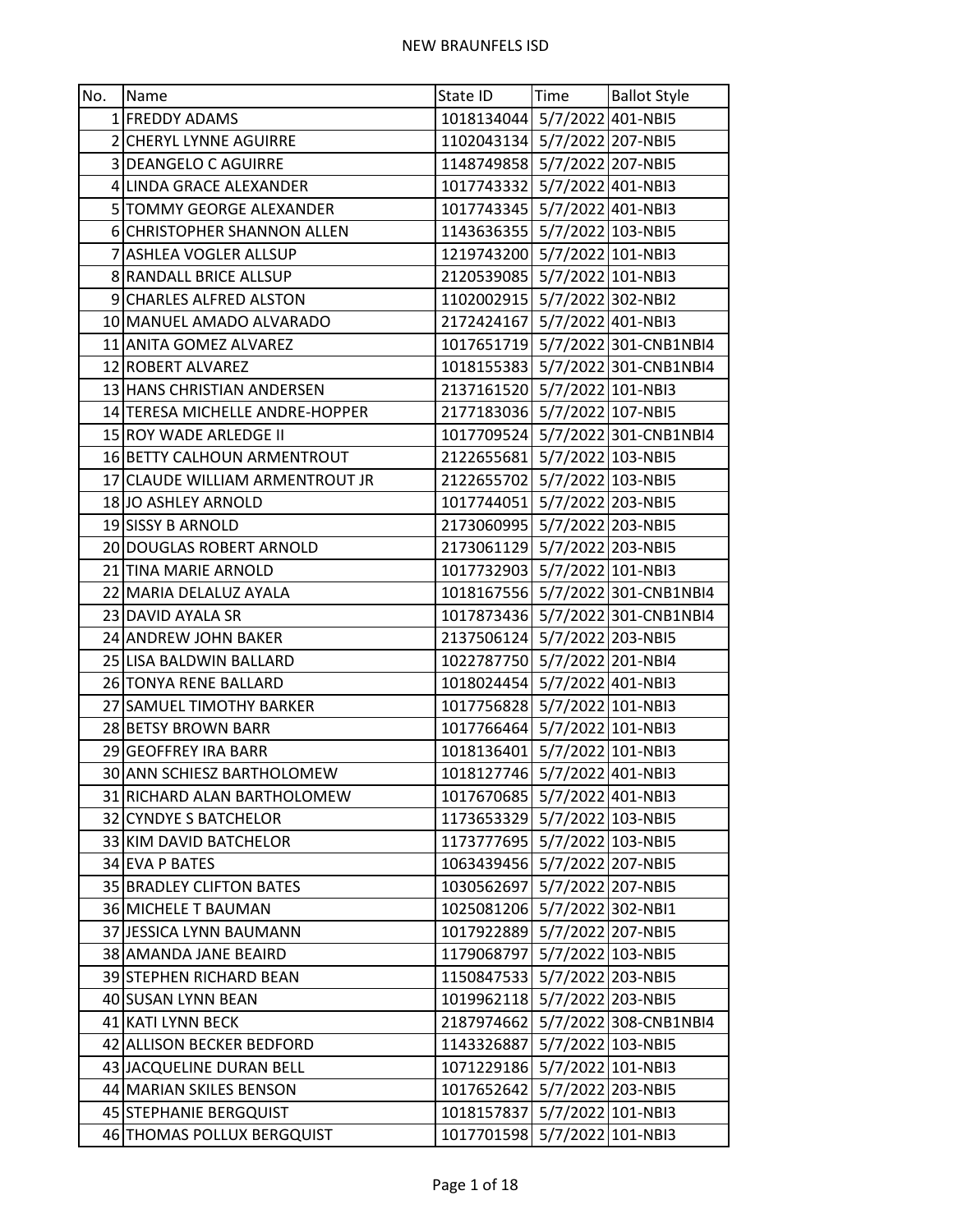| No. | Name                            | State ID                     | Time              | <b>Ballot Style</b>              |
|-----|---------------------------------|------------------------------|-------------------|----------------------------------|
|     | 1 FREDDY ADAMS                  | 1018134044 5/7/2022 401-NBI5 |                   |                                  |
|     | 2 CHERYL LYNNE AGUIRRE          | 1102043134 5/7/2022 207-NBI5 |                   |                                  |
|     | 3 DEANGELO C AGUIRRE            | 1148749858 5/7/2022 207-NBI5 |                   |                                  |
|     | 4 LINDA GRACE ALEXANDER         | 1017743332 5/7/2022 401-NBI3 |                   |                                  |
|     | 5 TOMMY GEORGE ALEXANDER        | 1017743345 5/7/2022 401-NBI3 |                   |                                  |
|     | 6 CHRISTOPHER SHANNON ALLEN     | 1143636355 5/7/2022 103-NBI5 |                   |                                  |
|     | 7 ASHLEA VOGLER ALLSUP          | 1219743200 5/7/2022 101-NBI3 |                   |                                  |
|     | 8 RANDALL BRICE ALLSUP          | 2120539085 5/7/2022 101-NBI3 |                   |                                  |
|     | 9 CHARLES ALFRED ALSTON         | 1102002915 5/7/2022 302-NBI2 |                   |                                  |
|     | 10 MANUEL AMADO ALVARADO        | 2172424167 5/7/2022 401-NBI3 |                   |                                  |
|     | 11 ANITA GOMEZ ALVAREZ          |                              |                   | 1017651719 5/7/2022 301-CNB1NBI4 |
|     | 12 ROBERT ALVAREZ               |                              |                   | 1018155383 5/7/2022 301-CNB1NBI4 |
|     | 13 HANS CHRISTIAN ANDERSEN      | 2137161520 5/7/2022 101-NBI3 |                   |                                  |
|     | 14 TERESA MICHELLE ANDRE-HOPPER | 2177183036 5/7/2022 107-NBI5 |                   |                                  |
|     | 15 ROY WADE ARLEDGE II          |                              |                   | 1017709524 5/7/2022 301-CNB1NBI4 |
|     | 16 BETTY CALHOUN ARMENTROUT     | 2122655681 5/7/2022 103-NBI5 |                   |                                  |
|     | 17 CLAUDE WILLIAM ARMENTROUT JR | 2122655702 5/7/2022 103-NBI5 |                   |                                  |
|     | 18 JO ASHLEY ARNOLD             | 1017744051 5/7/2022 203-NBI5 |                   |                                  |
|     | 19 SISSY B ARNOLD               | 2173060995 5/7/2022 203-NBI5 |                   |                                  |
|     | 20 DOUGLAS ROBERT ARNOLD        | 2173061129 5/7/2022 203-NBI5 |                   |                                  |
|     | 21 TINA MARIE ARNOLD            | 1017732903 5/7/2022 101-NBI3 |                   |                                  |
|     | 22 MARIA DELALUZ AYALA          |                              |                   | 1018167556 5/7/2022 301-CNB1NBI4 |
|     | 23 DAVID AYALA SR               |                              |                   | 1017873436 5/7/2022 301-CNB1NBI4 |
|     | 24 ANDREW JOHN BAKER            | 2137506124 5/7/2022 203-NBI5 |                   |                                  |
|     | 25 LISA BALDWIN BALLARD         | 1022787750 5/7/2022 201-NBI4 |                   |                                  |
|     | 26 TONYA RENE BALLARD           | 1018024454 5/7/2022 401-NBI3 |                   |                                  |
|     | 27 SAMUEL TIMOTHY BARKER        | 1017756828 5/7/2022 101-NBI3 |                   |                                  |
|     | 28 BETSY BROWN BARR             | 1017766464 5/7/2022 101-NBI3 |                   |                                  |
|     | 29 GEOFFREY IRA BARR            | 1018136401 5/7/2022 101-NBI3 |                   |                                  |
|     | 30 ANN SCHIESZ BARTHOLOMEW      | 1018127746 5/7/2022 401-NBI3 |                   |                                  |
|     | 31 RICHARD ALAN BARTHOLOMEW     | 1017670685 5/7/2022 401-NBI3 |                   |                                  |
|     | 32 CYNDYE S BATCHELOR           | 1173653329 5/7/2022 103-NBI5 |                   |                                  |
|     | 33 KIM DAVID BATCHELOR          | 1173777695 5/7/2022 103-NBI5 |                   |                                  |
|     | 34 EVA P BATES                  | 1063439456 5/7/2022 207-NBI5 |                   |                                  |
|     | 35 BRADLEY CLIFTON BATES        | 1030562697 5/7/2022 207-NBI5 |                   |                                  |
|     | 36 MICHELE T BAUMAN             | 1025081206 5/7/2022 302-NBI1 |                   |                                  |
|     | 37 JESSICA LYNN BAUMANN         | 1017922889 5/7/2022 207-NBI5 |                   |                                  |
|     | 38 AMANDA JANE BEAIRD           | 1179068797                   |                   | 5/7/2022 103-NBI5                |
|     | 39 STEPHEN RICHARD BEAN         | 1150847533 5/7/2022 203-NBI5 |                   |                                  |
|     | 40 SUSAN LYNN BEAN              | 1019962118 5/7/2022 203-NBI5 |                   |                                  |
|     | 41 KATI LYNN BECK               |                              |                   | 2187974662 5/7/2022 308-CNB1NBI4 |
|     | 42 ALLISON BECKER BEDFORD       | 1143326887                   | 5/7/2022 103-NBI5 |                                  |
|     | 43 JACQUELINE DURAN BELL        | 1071229186                   |                   | 5/7/2022 101-NBI3                |
|     | 44 MARIAN SKILES BENSON         | 1017652642 5/7/2022 203-NBI5 |                   |                                  |
|     | 45 STEPHANIE BERGQUIST          | 1018157837 5/7/2022 101-NBI3 |                   |                                  |
|     | 46 THOMAS POLLUX BERGQUIST      | 1017701598 5/7/2022 101-NBI3 |                   |                                  |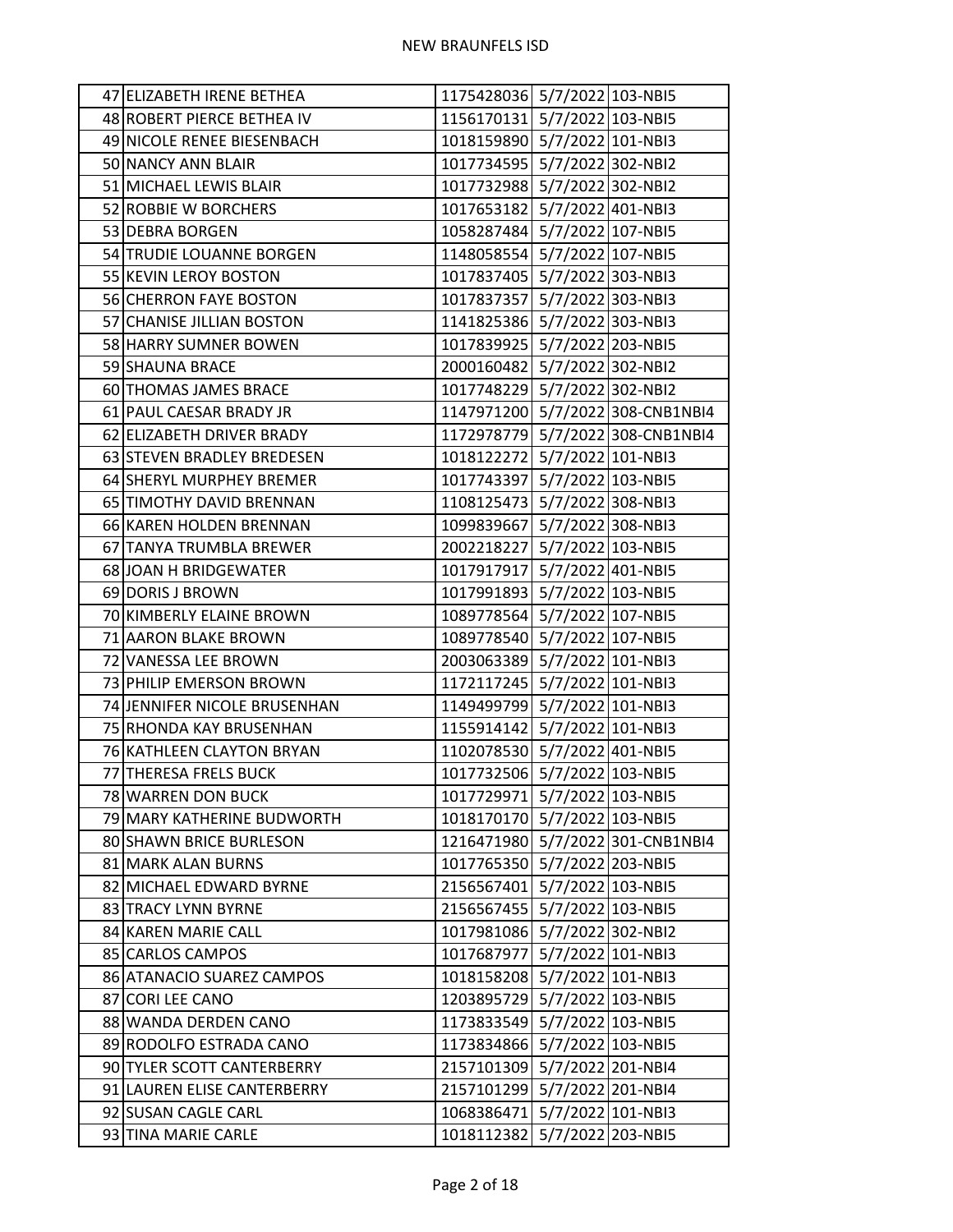| 47 ELIZABETH IRENE BETHEA    | 1175428036 5/7/2022 103-NBI5 |                                  |
|------------------------------|------------------------------|----------------------------------|
| 48 ROBERT PIERCE BETHEA IV   | 1156170131 5/7/2022 103-NBI5 |                                  |
| 49 NICOLE RENEE BIESENBACH   | 1018159890 5/7/2022 101-NBI3 |                                  |
| 50 NANCY ANN BLAIR           | 1017734595 5/7/2022 302-NBI2 |                                  |
| 51 MICHAEL LEWIS BLAIR       | 1017732988 5/7/2022 302-NBI2 |                                  |
| 52 ROBBIE W BORCHERS         | 1017653182 5/7/2022 401-NBI3 |                                  |
| 53 DEBRA BORGEN              | 1058287484 5/7/2022 107-NBI5 |                                  |
| 54 TRUDIE LOUANNE BORGEN     | 1148058554 5/7/2022 107-NBI5 |                                  |
| 55 KEVIN LEROY BOSTON        | 1017837405 5/7/2022 303-NBI3 |                                  |
| 56 CHERRON FAYE BOSTON       | 1017837357 5/7/2022 303-NBI3 |                                  |
| 57 CHANISE JILLIAN BOSTON    | 1141825386 5/7/2022 303-NBI3 |                                  |
| 58 HARRY SUMNER BOWEN        | 1017839925 5/7/2022 203-NBI5 |                                  |
| 59 SHAUNA BRACE              | 2000160482 5/7/2022 302-NBI2 |                                  |
| 60 THOMAS JAMES BRACE        | 1017748229 5/7/2022 302-NBI2 |                                  |
| 61 PAUL CAESAR BRADY JR      |                              | 1147971200 5/7/2022 308-CNB1NBI4 |
| 62 ELIZABETH DRIVER BRADY    |                              | 1172978779 5/7/2022 308-CNB1NBI4 |
| 63 STEVEN BRADLEY BREDESEN   | 1018122272 5/7/2022 101-NBI3 |                                  |
| 64 SHERYL MURPHEY BREMER     | 1017743397 5/7/2022 103-NBI5 |                                  |
| 65 TIMOTHY DAVID BRENNAN     | 1108125473 5/7/2022 308-NBI3 |                                  |
| 66 KAREN HOLDEN BRENNAN      | 1099839667 5/7/2022 308-NBI3 |                                  |
| 67 TANYA TRUMBLA BREWER      | 2002218227 5/7/2022 103-NBI5 |                                  |
| 68 JOAN H BRIDGEWATER        | 1017917917 5/7/2022 401-NBI5 |                                  |
| 69 DORIS J BROWN             | 1017991893 5/7/2022 103-NBI5 |                                  |
| 70 KIMBERLY ELAINE BROWN     | 1089778564 5/7/2022 107-NBI5 |                                  |
| 71 AARON BLAKE BROWN         | 1089778540 5/7/2022 107-NBI5 |                                  |
| 72 VANESSA LEE BROWN         | 2003063389 5/7/2022 101-NBI3 |                                  |
| 73 PHILIP EMERSON BROWN      | 1172117245 5/7/2022 101-NBI3 |                                  |
| 74 JENNIFER NICOLE BRUSENHAN | 1149499799 5/7/2022 101-NBI3 |                                  |
| 75 RHONDA KAY BRUSENHAN      | 1155914142 5/7/2022 101-NBI3 |                                  |
| 76 KATHLEEN CLAYTON BRYAN    | 1102078530 5/7/2022 401-NBI5 |                                  |
| 77 THERESA FRELS BUCK        | 1017732506 5/7/2022 103-NBI5 |                                  |
| 78 WARREN DON BUCK           | 1017729971 5/7/2022 103-NBI5 |                                  |
| 79 MARY KATHERINE BUDWORTH   | 1018170170 5/7/2022 103-NBI5 |                                  |
| 80 SHAWN BRICE BURLESON      |                              | 1216471980 5/7/2022 301-CNB1NBI4 |
| 81 MARK ALAN BURNS           | 1017765350 5/7/2022 203-NBI5 |                                  |
| 82 MICHAEL EDWARD BYRNE      | 2156567401 5/7/2022 103-NBI5 |                                  |
| 83 TRACY LYNN BYRNE          | 2156567455 5/7/2022 103-NBI5 |                                  |
| 84 KAREN MARIE CALL          | 1017981086 5/7/2022 302-NBI2 |                                  |
| 85 CARLOS CAMPOS             | 1017687977 5/7/2022 101-NBI3 |                                  |
| 86 ATANACIO SUAREZ CAMPOS    | 1018158208 5/7/2022 101-NBI3 |                                  |
| 87 CORI LEE CANO             | 1203895729 5/7/2022 103-NBI5 |                                  |
| 88 WANDA DERDEN CANO         | 1173833549 5/7/2022 103-NBI5 |                                  |
| 89 RODOLFO ESTRADA CANO      | 1173834866 5/7/2022 103-NBI5 |                                  |
| 90 TYLER SCOTT CANTERBERRY   | 2157101309 5/7/2022 201-NBI4 |                                  |
| 91 LAUREN ELISE CANTERBERRY  | 2157101299 5/7/2022 201-NBI4 |                                  |
| 92 SUSAN CAGLE CARL          | 1068386471 5/7/2022 101-NBI3 |                                  |
| 93 TINA MARIE CARLE          | 1018112382 5/7/2022 203-NBI5 |                                  |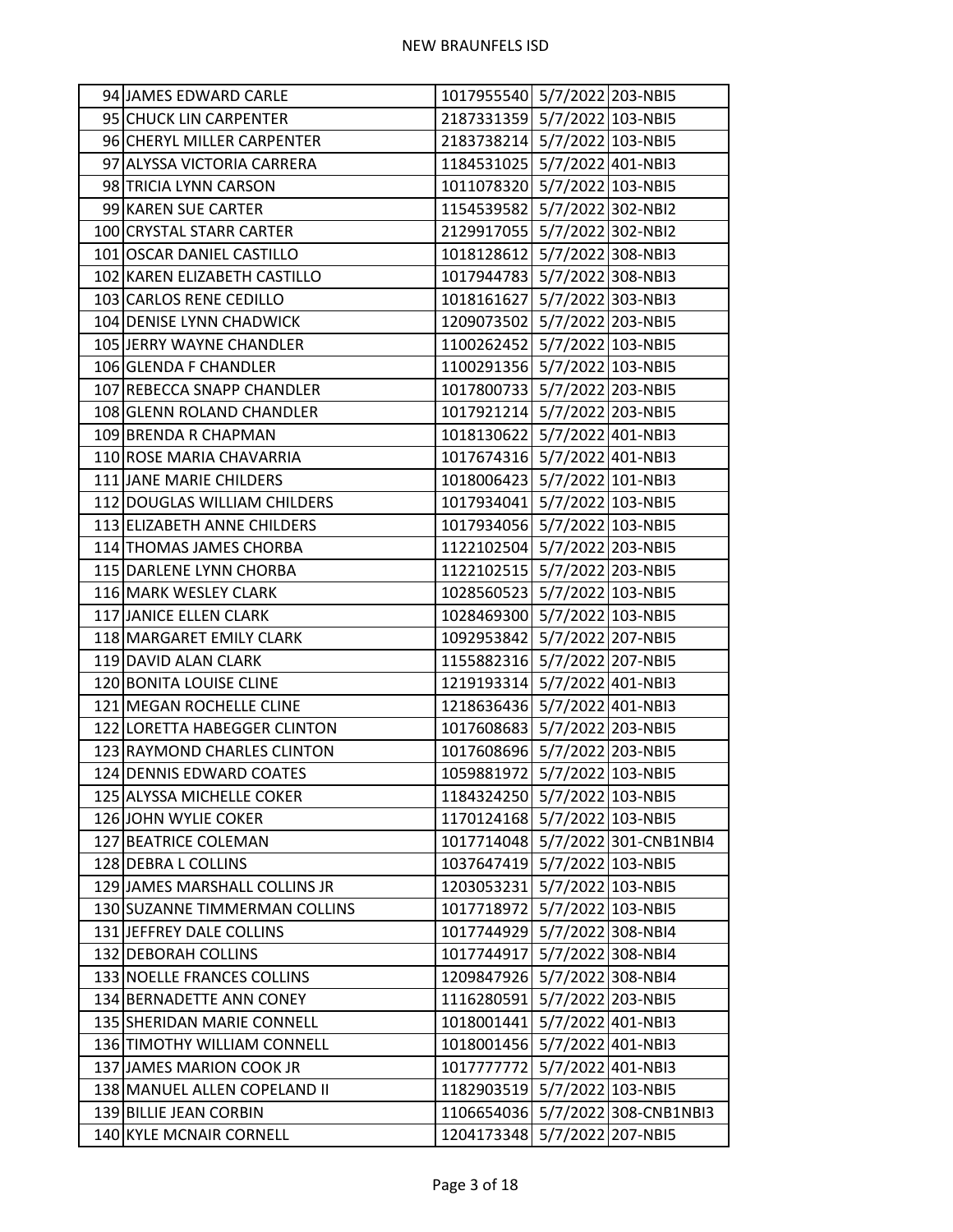| 94 JAMES EDWARD CARLE         | 1017955540 5/7/2022 203-NBI5 |                                  |
|-------------------------------|------------------------------|----------------------------------|
| 95 CHUCK LIN CARPENTER        | 2187331359 5/7/2022 103-NBI5 |                                  |
| 96 CHERYL MILLER CARPENTER    | 2183738214 5/7/2022 103-NBI5 |                                  |
| 97 ALYSSA VICTORIA CARRERA    | 1184531025 5/7/2022 401-NBI3 |                                  |
| 98 TRICIA LYNN CARSON         | 1011078320 5/7/2022 103-NBI5 |                                  |
| 99 KAREN SUE CARTER           | 1154539582 5/7/2022 302-NBI2 |                                  |
| 100 CRYSTAL STARR CARTER      | 2129917055 5/7/2022 302-NBI2 |                                  |
| 101 OSCAR DANIEL CASTILLO     | 1018128612 5/7/2022 308-NBI3 |                                  |
| 102 KAREN ELIZABETH CASTILLO  | 1017944783 5/7/2022 308-NBI3 |                                  |
| 103 CARLOS RENE CEDILLO       | 1018161627 5/7/2022 303-NBI3 |                                  |
| 104 DENISE LYNN CHADWICK      | 1209073502 5/7/2022 203-NBI5 |                                  |
| 105 JERRY WAYNE CHANDLER      | 1100262452 5/7/2022 103-NBI5 |                                  |
| 106 GLENDA F CHANDLER         | 1100291356 5/7/2022 103-NBI5 |                                  |
| 107 REBECCA SNAPP CHANDLER    | 1017800733 5/7/2022 203-NBI5 |                                  |
| 108 GLENN ROLAND CHANDLER     | 1017921214 5/7/2022 203-NBI5 |                                  |
| 109 BRENDA R CHAPMAN          | 1018130622 5/7/2022 401-NBI3 |                                  |
| 110 ROSE MARIA CHAVARRIA      | 1017674316 5/7/2022 401-NBI3 |                                  |
| 111 JANE MARIE CHILDERS       | 1018006423 5/7/2022 101-NBI3 |                                  |
| 112 DOUGLAS WILLIAM CHILDERS  | 1017934041 5/7/2022 103-NBI5 |                                  |
| 113 ELIZABETH ANNE CHILDERS   | 1017934056 5/7/2022 103-NBI5 |                                  |
| 114 THOMAS JAMES CHORBA       | 1122102504 5/7/2022 203-NBI5 |                                  |
| 115 DARLENE LYNN CHORBA       | 1122102515 5/7/2022 203-NBI5 |                                  |
| 116 MARK WESLEY CLARK         | 1028560523 5/7/2022 103-NBI5 |                                  |
| 117 JANICE ELLEN CLARK        | 1028469300 5/7/2022 103-NBI5 |                                  |
| 118 MARGARET EMILY CLARK      | 1092953842 5/7/2022 207-NBI5 |                                  |
| 119 DAVID ALAN CLARK          | 1155882316 5/7/2022 207-NBI5 |                                  |
| 120 BONITA LOUISE CLINE       | 1219193314 5/7/2022 401-NBI3 |                                  |
| 121 MEGAN ROCHELLE CLINE      | 1218636436 5/7/2022 401-NBI3 |                                  |
| 122 LORETTA HABEGGER CLINTON  | 1017608683 5/7/2022 203-NBI5 |                                  |
| 123 RAYMOND CHARLES CLINTON   | 1017608696 5/7/2022 203-NBI5 |                                  |
| 124 DENNIS EDWARD COATES      | 1059881972 5/7/2022 103-NBI5 |                                  |
| 125 ALYSSA MICHELLE COKER     | 1184324250 5/7/2022 103-NBI5 |                                  |
| 126 JOHN WYLIE COKER          | 1170124168 5/7/2022 103-NBI5 |                                  |
| 127 BEATRICE COLEMAN          |                              | 1017714048 5/7/2022 301-CNB1NBI4 |
| 128 DEBRA L COLLINS           | 1037647419 5/7/2022 103-NBI5 |                                  |
| 129 JAMES MARSHALL COLLINS JR | 1203053231 5/7/2022 103-NBI5 |                                  |
| 130 SUZANNE TIMMERMAN COLLINS | 1017718972 5/7/2022 103-NBI5 |                                  |
| 131 JEFFREY DALE COLLINS      | 1017744929 5/7/2022 308-NBI4 |                                  |
| 132 DEBORAH COLLINS           | 1017744917 5/7/2022 308-NBI4 |                                  |
| 133 NOELLE FRANCES COLLINS    | 1209847926 5/7/2022 308-NBI4 |                                  |
| 134 BERNADETTE ANN CONEY      | 1116280591 5/7/2022 203-NBI5 |                                  |
| 135 SHERIDAN MARIE CONNELL    | 1018001441 5/7/2022 401-NBI3 |                                  |
| 136 TIMOTHY WILLIAM CONNELL   | 1018001456 5/7/2022 401-NBI3 |                                  |
| 137 JAMES MARION COOK JR      | 1017777772 5/7/2022 401-NBI3 |                                  |
| 138 MANUEL ALLEN COPELAND II  | 1182903519 5/7/2022 103-NBI5 |                                  |
| 139 BILLIE JEAN CORBIN        |                              | 1106654036 5/7/2022 308-CNB1NBI3 |
| 140 KYLE MCNAIR CORNELL       | 1204173348 5/7/2022 207-NBI5 |                                  |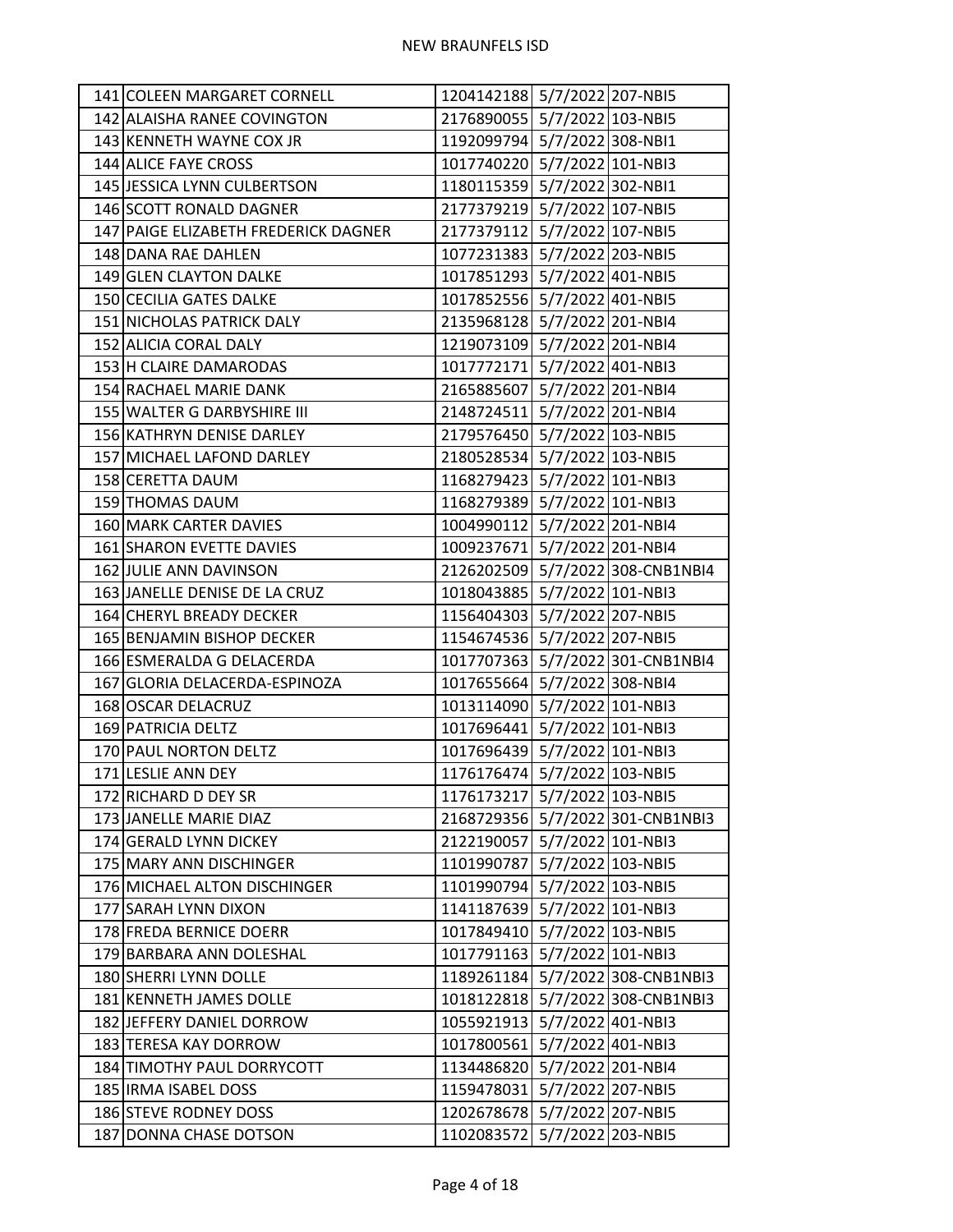| 141 COLEEN MARGARET CORNELL          | 1204142188 5/7/2022 207-NBI5 |                   |                                  |
|--------------------------------------|------------------------------|-------------------|----------------------------------|
| 142 ALAISHA RANEE COVINGTON          | 2176890055 5/7/2022 103-NBI5 |                   |                                  |
| 143 KENNETH WAYNE COX JR             | 1192099794 5/7/2022 308-NBI1 |                   |                                  |
| 144 ALICE FAYE CROSS                 | 1017740220 5/7/2022 101-NBI3 |                   |                                  |
| 145 JESSICA LYNN CULBERTSON          | 1180115359 5/7/2022 302-NBI1 |                   |                                  |
| 146 SCOTT RONALD DAGNER              | 2177379219 5/7/2022 107-NBI5 |                   |                                  |
| 147 PAIGE ELIZABETH FREDERICK DAGNER | 2177379112 5/7/2022 107-NBI5 |                   |                                  |
| 148 DANA RAE DAHLEN                  | 1077231383 5/7/2022 203-NBI5 |                   |                                  |
| 149 GLEN CLAYTON DALKE               | 1017851293 5/7/2022 401-NBI5 |                   |                                  |
| 150 CECILIA GATES DALKE              | 1017852556 5/7/2022 401-NBI5 |                   |                                  |
| 151 NICHOLAS PATRICK DALY            | 2135968128 5/7/2022 201-NBI4 |                   |                                  |
| 152 ALICIA CORAL DALY                | 1219073109 5/7/2022 201-NBI4 |                   |                                  |
| 153 H CLAIRE DAMARODAS               | 1017772171 5/7/2022 401-NBI3 |                   |                                  |
| 154 RACHAEL MARIE DANK               | 2165885607 5/7/2022 201-NBI4 |                   |                                  |
| 155 WALTER G DARBYSHIRE III          | 2148724511 5/7/2022 201-NBI4 |                   |                                  |
| 156 KATHRYN DENISE DARLEY            | 2179576450 5/7/2022 103-NBI5 |                   |                                  |
| 157 MICHAEL LAFOND DARLEY            | 2180528534 5/7/2022 103-NBI5 |                   |                                  |
| 158 CERETTA DAUM                     | 1168279423 5/7/2022 101-NBI3 |                   |                                  |
| 159 THOMAS DAUM                      | 1168279389 5/7/2022 101-NBI3 |                   |                                  |
| 160 MARK CARTER DAVIES               | 1004990112 5/7/2022 201-NBI4 |                   |                                  |
| 161 SHARON EVETTE DAVIES             | 1009237671 5/7/2022 201-NBI4 |                   |                                  |
| 162 JULIE ANN DAVINSON               |                              |                   | 2126202509 5/7/2022 308-CNB1NBI4 |
| 163 JANELLE DENISE DE LA CRUZ        | 1018043885 5/7/2022 101-NBI3 |                   |                                  |
| 164 CHERYL BREADY DECKER             | 1156404303 5/7/2022 207-NBI5 |                   |                                  |
| 165 BENJAMIN BISHOP DECKER           | 1154674536 5/7/2022 207-NBI5 |                   |                                  |
| 166 ESMERALDA G DELACERDA            |                              |                   | 1017707363 5/7/2022 301-CNB1NBI4 |
| 167 GLORIA DELACERDA-ESPINOZA        | 1017655664 5/7/2022 308-NBI4 |                   |                                  |
| 168 OSCAR DELACRUZ                   | 1013114090 5/7/2022 101-NBI3 |                   |                                  |
| 169 PATRICIA DELTZ                   | 1017696441 5/7/2022 101-NBI3 |                   |                                  |
| 170 PAUL NORTON DELTZ                | 1017696439 5/7/2022 101-NBI3 |                   |                                  |
| 171 LESLIE ANN DEY                   | 1176176474 5/7/2022 103-NBI5 |                   |                                  |
| 172 RICHARD D DEY SR                 | 1176173217 5/7/2022 103-NBI5 |                   |                                  |
| 173 JANELLE MARIE DIAZ               |                              |                   | 2168729356 5/7/2022 301-CNB1NBI3 |
| 174 GERALD LYNN DICKEY               | 2122190057 5/7/2022 101-NBI3 |                   |                                  |
| 175 MARY ANN DISCHINGER              | 1101990787                   | 5/7/2022 103-NBI5 |                                  |
| 176 MICHAEL ALTON DISCHINGER         | 1101990794 5/7/2022 103-NBI5 |                   |                                  |
| 177 SARAH LYNN DIXON                 | 1141187639 5/7/2022 101-NBI3 |                   |                                  |
| 178 FREDA BERNICE DOERR              | 1017849410 5/7/2022 103-NBI5 |                   |                                  |
| 179 BARBARA ANN DOLESHAL             | 1017791163 5/7/2022 101-NBI3 |                   |                                  |
| 180 SHERRI LYNN DOLLE                | 1189261184                   |                   | 5/7/2022 308-CNB1NBI3            |
| 181 KENNETH JAMES DOLLE              |                              |                   | 1018122818 5/7/2022 308-CNB1NBI3 |
| 182 JEFFERY DANIEL DORROW            | 1055921913 5/7/2022 401-NBI3 |                   |                                  |
| 183 TERESA KAY DORROW                | 1017800561 5/7/2022 401-NBI3 |                   |                                  |
| 184 TIMOTHY PAUL DORRYCOTT           | 1134486820 5/7/2022 201-NBI4 |                   |                                  |
| 185 IRMA ISABEL DOSS                 | 1159478031                   |                   | 5/7/2022 207-NBI5                |
| 186 STEVE RODNEY DOSS                | 1202678678 5/7/2022 207-NBI5 |                   |                                  |
| 187 DONNA CHASE DOTSON               | 1102083572 5/7/2022 203-NBI5 |                   |                                  |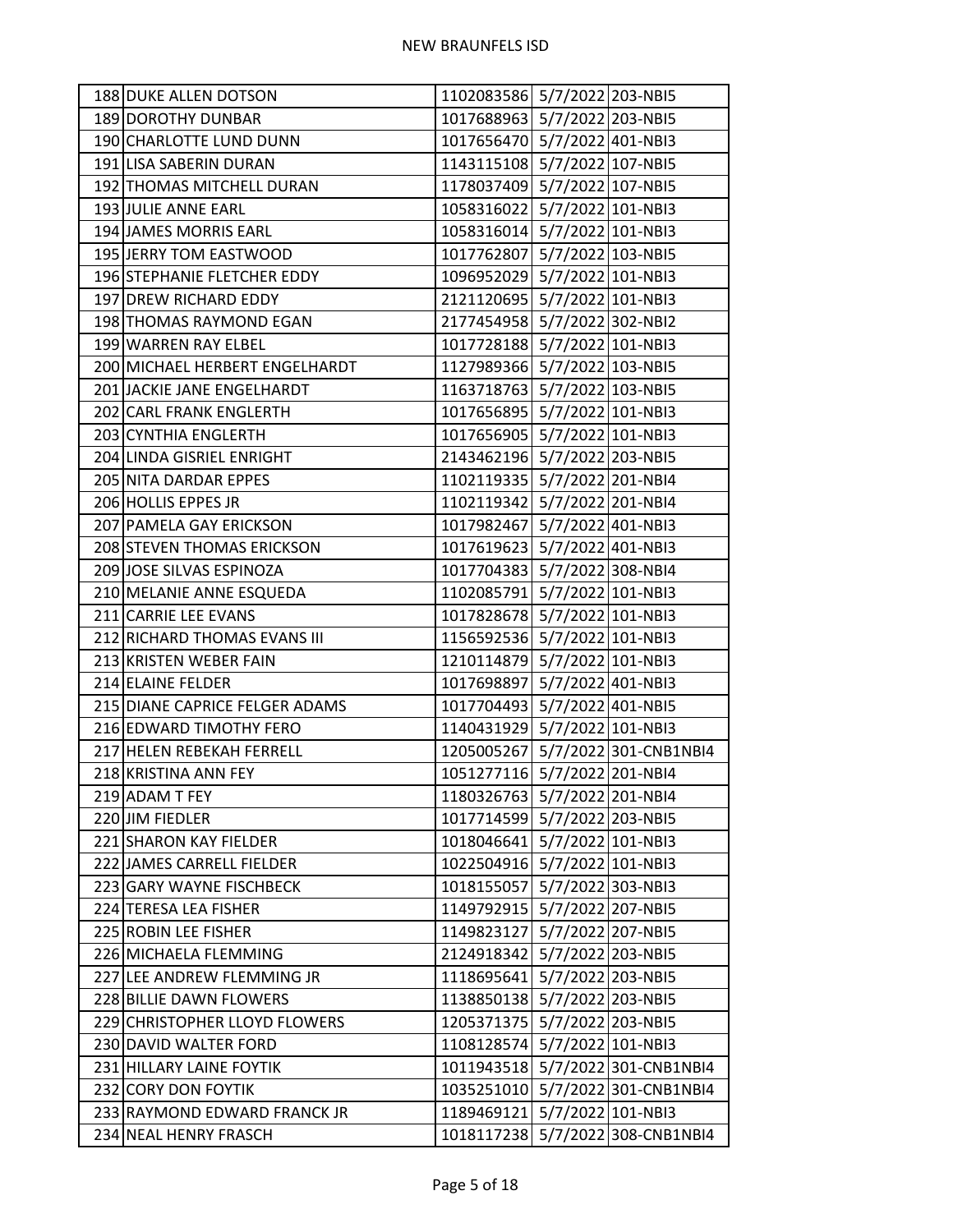| 188 DUKE ALLEN DOTSON          | 1102083586 5/7/2022 203-NBI5 |                                  |
|--------------------------------|------------------------------|----------------------------------|
| 189 DOROTHY DUNBAR             | 1017688963 5/7/2022 203-NBI5 |                                  |
| 190 CHARLOTTE LUND DUNN        | 1017656470 5/7/2022 401-NBI3 |                                  |
| 191 LISA SABERIN DURAN         | 1143115108 5/7/2022 107-NBI5 |                                  |
| 192 THOMAS MITCHELL DURAN      | 1178037409 5/7/2022 107-NBI5 |                                  |
| 193 JULIE ANNE EARL            | 1058316022 5/7/2022 101-NBI3 |                                  |
| 194 JAMES MORRIS EARL          | 1058316014 5/7/2022 101-NBI3 |                                  |
| 195 JERRY TOM EASTWOOD         | 1017762807 5/7/2022 103-NBI5 |                                  |
| 196 STEPHANIE FLETCHER EDDY    | 1096952029 5/7/2022 101-NBI3 |                                  |
| 197 DREW RICHARD EDDY          | 2121120695 5/7/2022 101-NBI3 |                                  |
| 198 THOMAS RAYMOND EGAN        | 2177454958 5/7/2022 302-NBI2 |                                  |
| 199 WARREN RAY ELBEL           | 1017728188 5/7/2022 101-NBI3 |                                  |
| 200 MICHAEL HERBERT ENGELHARDT | 1127989366 5/7/2022 103-NBI5 |                                  |
| 201 JACKIE JANE ENGELHARDT     | 1163718763 5/7/2022 103-NBI5 |                                  |
| 202 CARL FRANK ENGLERTH        | 1017656895 5/7/2022 101-NBI3 |                                  |
| 203 CYNTHIA ENGLERTH           | 1017656905 5/7/2022 101-NBI3 |                                  |
| 204 LINDA GISRIEL ENRIGHT      | 2143462196 5/7/2022 203-NBI5 |                                  |
| 205 NITA DARDAR EPPES          | 1102119335 5/7/2022 201-NBI4 |                                  |
| 206 HOLLIS EPPES JR            | 1102119342 5/7/2022 201-NBI4 |                                  |
| 207 PAMELA GAY ERICKSON        | 1017982467 5/7/2022 401-NBI3 |                                  |
| 208 STEVEN THOMAS ERICKSON     | 1017619623 5/7/2022 401-NBI3 |                                  |
| 209 JOSE SILVAS ESPINOZA       | 1017704383 5/7/2022 308-NBI4 |                                  |
| 210 MELANIE ANNE ESQUEDA       | 1102085791 5/7/2022 101-NBI3 |                                  |
| 211 CARRIE LEE EVANS           | 1017828678 5/7/2022 101-NBI3 |                                  |
| 212 RICHARD THOMAS EVANS III   | 1156592536 5/7/2022 101-NBI3 |                                  |
| 213 KRISTEN WEBER FAIN         | 1210114879 5/7/2022 101-NBI3 |                                  |
| 214 ELAINE FELDER              | 1017698897 5/7/2022 401-NBI3 |                                  |
| 215 DIANE CAPRICE FELGER ADAMS | 1017704493 5/7/2022 401-NBI5 |                                  |
| 216 EDWARD TIMOTHY FERO        | 1140431929 5/7/2022 101-NBI3 |                                  |
| 217 HELEN REBEKAH FERRELL      |                              | 1205005267 5/7/2022 301-CNB1NBI4 |
| 218 KRISTINA ANN FEY           | 1051277116 5/7/2022 201-NBI4 |                                  |
| 219 ADAM T FEY                 | 1180326763 5/7/2022 201-NBI4 |                                  |
| 220 JIM FIEDLER                | 1017714599 5/7/2022 203-NBI5 |                                  |
| 221 SHARON KAY FIELDER         | 1018046641 5/7/2022 101-NBI3 |                                  |
| 222 JAMES CARRELL FIELDER      | 1022504916 5/7/2022 101-NBI3 |                                  |
| 223 GARY WAYNE FISCHBECK       | 1018155057 5/7/2022 303-NBI3 |                                  |
| 224 TERESA LEA FISHER          | 1149792915 5/7/2022 207-NBI5 |                                  |
| 225 ROBIN LEE FISHER           | 1149823127 5/7/2022 207-NBI5 |                                  |
| 226 MICHAELA FLEMMING          | 2124918342 5/7/2022 203-NBI5 |                                  |
| 227 LEE ANDREW FLEMMING JR     | 1118695641 5/7/2022 203-NBI5 |                                  |
| 228 BILLIE DAWN FLOWERS        | 1138850138 5/7/2022 203-NBI5 |                                  |
| 229 CHRISTOPHER LLOYD FLOWERS  | 1205371375 5/7/2022 203-NBI5 |                                  |
| 230 DAVID WALTER FORD          | 1108128574 5/7/2022 101-NBI3 |                                  |
| 231 HILLARY LAINE FOYTIK       |                              | 1011943518 5/7/2022 301-CNB1NBI4 |
| 232 CORY DON FOYTIK            |                              | 1035251010 5/7/2022 301-CNB1NBI4 |
| 233 RAYMOND EDWARD FRANCK JR   | 1189469121 5/7/2022 101-NBI3 |                                  |
| 234 NEAL HENRY FRASCH          |                              | 1018117238 5/7/2022 308-CNB1NBI4 |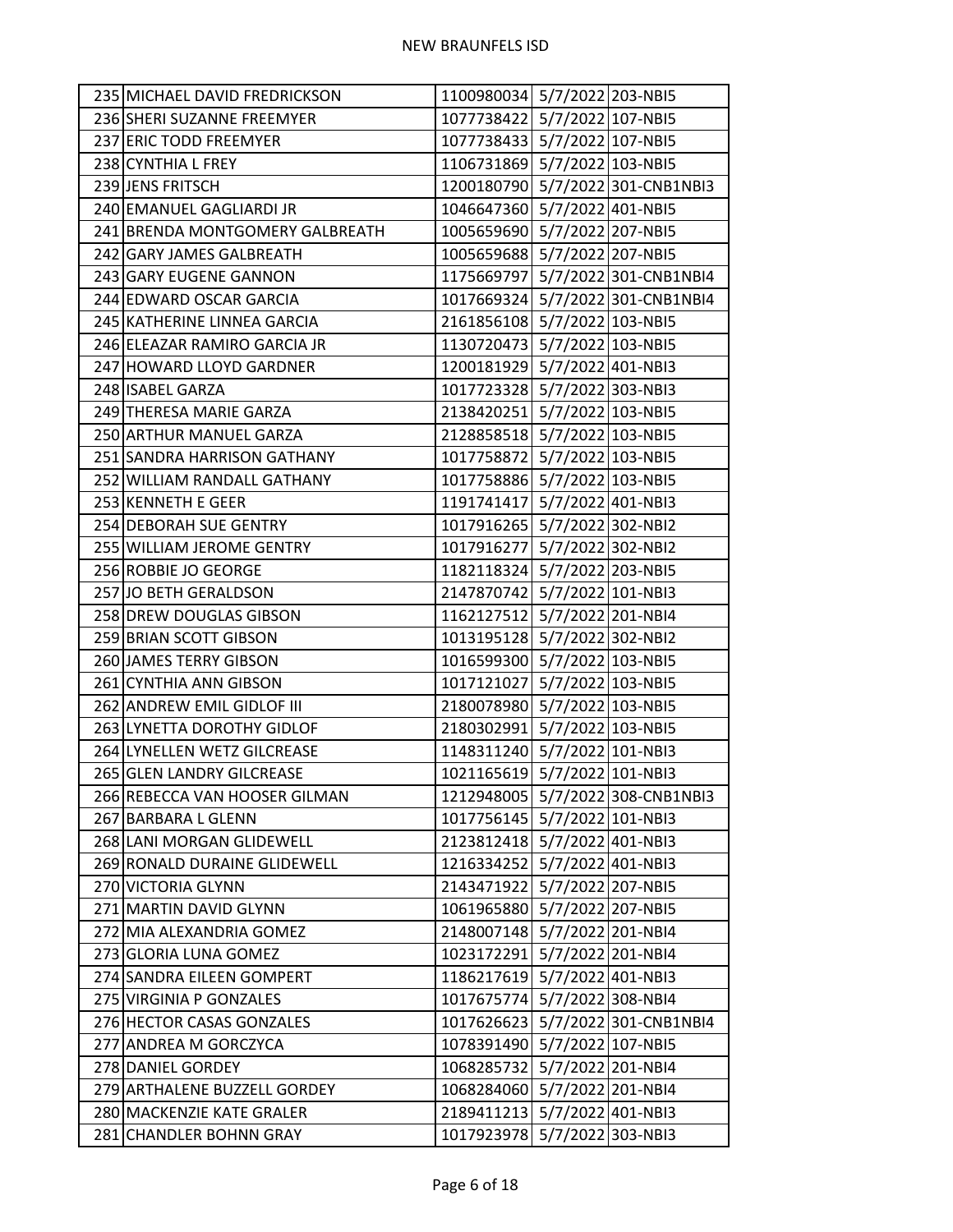| 1077738422 5/7/2022 107-NBI5<br>236 SHERI SUZANNE FREEMYER<br>1077738433 5/7/2022 107-NBI5<br>237 ERIC TODD FREEMYER<br>1106731869 5/7/2022 103-NBI5<br>238 CYNTHIA L FREY<br>1200180790 5/7/2022 301-CNB1NBI3<br>239 JENS FRITSCH<br>1046647360 5/7/2022 401-NBI5<br>240 EMANUEL GAGLIARDI JR<br>1005659690 5/7/2022 207-NBI5<br>241 BRENDA MONTGOMERY GALBREATH<br>1005659688 5/7/2022 207-NBI5<br>242 GARY JAMES GALBREATH<br>1175669797 5/7/2022 301-CNB1NBI4<br>243 GARY EUGENE GANNON<br>244 EDWARD OSCAR GARCIA<br>1017669324 5/7/2022 301-CNB1NBI4<br>2161856108 5/7/2022 103-NBI5<br>245 KATHERINE LINNEA GARCIA<br>1130720473 5/7/2022 103-NBI5<br>246 ELEAZAR RAMIRO GARCIA JR<br>1200181929 5/7/2022 401-NBI3<br>247 HOWARD LLOYD GARDNER<br>248 ISABEL GARZA<br>1017723328 5/7/2022 303-NBI3<br>2138420251 5/7/2022 103-NBI5<br>249 THERESA MARIE GARZA<br>2128858518 5/7/2022 103-NBI5<br>250 ARTHUR MANUEL GARZA<br>1017758872 5/7/2022 103-NBI5<br>251 SANDRA HARRISON GATHANY<br>1017758886 5/7/2022 103-NBI5<br>252 WILLIAM RANDALL GATHANY<br>253 KENNETH E GEER<br>1191741417 5/7/2022 401-NBI3<br>1017916265 5/7/2022 302-NBI2<br>254 DEBORAH SUE GENTRY<br>1017916277 5/7/2022 302-NBI2<br>255 WILLIAM JEROME GENTRY<br>1182118324 5/7/2022 203-NBI5<br>256 ROBBIE JO GEORGE<br>2147870742 5/7/2022 101-NBI3<br>257 JO BETH GERALDSON<br>1162127512 5/7/2022 201-NBI4<br>258 DREW DOUGLAS GIBSON<br>1013195128 5/7/2022 302-NBI2<br>259 BRIAN SCOTT GIBSON<br>1016599300 5/7/2022 103-NBI5<br>260 JAMES TERRY GIBSON<br>1017121027 5/7/2022 103-NBI5<br>261 CYNTHIA ANN GIBSON<br>262 ANDREW EMIL GIDLOF III<br>2180078980 5/7/2022 103-NBI5<br>2180302991 5/7/2022 103-NBI5<br>263 LYNETTA DOROTHY GIDLOF<br>1148311240 5/7/2022 101-NBI3<br>264 LYNELLEN WETZ GILCREASE<br>1021165619 5/7/2022 101-NBI3<br>265 GLEN LANDRY GILCREASE<br>1212948005 5/7/2022 308-CNB1NBI3<br>266 REBECCA VAN HOOSER GILMAN<br>1017756145 5/7/2022 101-NBI3<br>267 BARBARA L GLENN<br>268 LANI MORGAN GLIDEWELL<br>2123812418 5/7/2022 401-NBI3<br>269 RONALD DURAINE GLIDEWELL<br>1216334252 5/7/2022 401-NBI3<br>2143471922 5/7/2022 207-NBI5<br>270 VICTORIA GLYNN<br>1061965880 5/7/2022 207-NBI5<br>271 MARTIN DAVID GLYNN<br>2148007148 5/7/2022 201-NBI4<br>272 MIA ALEXANDRIA GOMEZ<br>5/7/2022 201-NBI4<br>273 GLORIA LUNA GOMEZ<br>1023172291<br>274 SANDRA EILEEN GOMPERT<br>1186217619<br>5/7/2022 401-NBI3<br>1017675774 5/7/2022 308-NBI4<br>275 VIRGINIA P GONZALES<br>1017626623 5/7/2022 301-CNB1NBI4<br>276 HECTOR CASAS GONZALES<br>1078391490 5/7/2022 107-NBI5<br>277 ANDREA M GORCZYCA<br>278 DANIEL GORDEY<br>1068285732<br>5/7/2022 201-NBI4<br>279 ARTHALENE BUZZELL GORDEY<br>1068284060 5/7/2022 201-NBI4<br>2189411213 5/7/2022 401-NBI3<br>280 MACKENZIE KATE GRALER<br>1017923978 5/7/2022 303-NBI3<br>281 CHANDLER BOHNN GRAY | 235 MICHAEL DAVID FREDRICKSON | 1100980034 5/7/2022 203-NBI5 |  |
|--------------------------------------------------------------------------------------------------------------------------------------------------------------------------------------------------------------------------------------------------------------------------------------------------------------------------------------------------------------------------------------------------------------------------------------------------------------------------------------------------------------------------------------------------------------------------------------------------------------------------------------------------------------------------------------------------------------------------------------------------------------------------------------------------------------------------------------------------------------------------------------------------------------------------------------------------------------------------------------------------------------------------------------------------------------------------------------------------------------------------------------------------------------------------------------------------------------------------------------------------------------------------------------------------------------------------------------------------------------------------------------------------------------------------------------------------------------------------------------------------------------------------------------------------------------------------------------------------------------------------------------------------------------------------------------------------------------------------------------------------------------------------------------------------------------------------------------------------------------------------------------------------------------------------------------------------------------------------------------------------------------------------------------------------------------------------------------------------------------------------------------------------------------------------------------------------------------------------------------------------------------------------------------------------------------------------------------------------------------------------------------------------------------------------------------------------------------------------------------------------------------------------------------------------------------------------------------------------------------------------------------------------------------------------------------------------------------------------------------------------------------------------------------------------------------------------------------------------------------------|-------------------------------|------------------------------|--|
|                                                                                                                                                                                                                                                                                                                                                                                                                                                                                                                                                                                                                                                                                                                                                                                                                                                                                                                                                                                                                                                                                                                                                                                                                                                                                                                                                                                                                                                                                                                                                                                                                                                                                                                                                                                                                                                                                                                                                                                                                                                                                                                                                                                                                                                                                                                                                                                                                                                                                                                                                                                                                                                                                                                                                                                                                                                                    |                               |                              |  |
|                                                                                                                                                                                                                                                                                                                                                                                                                                                                                                                                                                                                                                                                                                                                                                                                                                                                                                                                                                                                                                                                                                                                                                                                                                                                                                                                                                                                                                                                                                                                                                                                                                                                                                                                                                                                                                                                                                                                                                                                                                                                                                                                                                                                                                                                                                                                                                                                                                                                                                                                                                                                                                                                                                                                                                                                                                                                    |                               |                              |  |
|                                                                                                                                                                                                                                                                                                                                                                                                                                                                                                                                                                                                                                                                                                                                                                                                                                                                                                                                                                                                                                                                                                                                                                                                                                                                                                                                                                                                                                                                                                                                                                                                                                                                                                                                                                                                                                                                                                                                                                                                                                                                                                                                                                                                                                                                                                                                                                                                                                                                                                                                                                                                                                                                                                                                                                                                                                                                    |                               |                              |  |
|                                                                                                                                                                                                                                                                                                                                                                                                                                                                                                                                                                                                                                                                                                                                                                                                                                                                                                                                                                                                                                                                                                                                                                                                                                                                                                                                                                                                                                                                                                                                                                                                                                                                                                                                                                                                                                                                                                                                                                                                                                                                                                                                                                                                                                                                                                                                                                                                                                                                                                                                                                                                                                                                                                                                                                                                                                                                    |                               |                              |  |
|                                                                                                                                                                                                                                                                                                                                                                                                                                                                                                                                                                                                                                                                                                                                                                                                                                                                                                                                                                                                                                                                                                                                                                                                                                                                                                                                                                                                                                                                                                                                                                                                                                                                                                                                                                                                                                                                                                                                                                                                                                                                                                                                                                                                                                                                                                                                                                                                                                                                                                                                                                                                                                                                                                                                                                                                                                                                    |                               |                              |  |
|                                                                                                                                                                                                                                                                                                                                                                                                                                                                                                                                                                                                                                                                                                                                                                                                                                                                                                                                                                                                                                                                                                                                                                                                                                                                                                                                                                                                                                                                                                                                                                                                                                                                                                                                                                                                                                                                                                                                                                                                                                                                                                                                                                                                                                                                                                                                                                                                                                                                                                                                                                                                                                                                                                                                                                                                                                                                    |                               |                              |  |
|                                                                                                                                                                                                                                                                                                                                                                                                                                                                                                                                                                                                                                                                                                                                                                                                                                                                                                                                                                                                                                                                                                                                                                                                                                                                                                                                                                                                                                                                                                                                                                                                                                                                                                                                                                                                                                                                                                                                                                                                                                                                                                                                                                                                                                                                                                                                                                                                                                                                                                                                                                                                                                                                                                                                                                                                                                                                    |                               |                              |  |
|                                                                                                                                                                                                                                                                                                                                                                                                                                                                                                                                                                                                                                                                                                                                                                                                                                                                                                                                                                                                                                                                                                                                                                                                                                                                                                                                                                                                                                                                                                                                                                                                                                                                                                                                                                                                                                                                                                                                                                                                                                                                                                                                                                                                                                                                                                                                                                                                                                                                                                                                                                                                                                                                                                                                                                                                                                                                    |                               |                              |  |
|                                                                                                                                                                                                                                                                                                                                                                                                                                                                                                                                                                                                                                                                                                                                                                                                                                                                                                                                                                                                                                                                                                                                                                                                                                                                                                                                                                                                                                                                                                                                                                                                                                                                                                                                                                                                                                                                                                                                                                                                                                                                                                                                                                                                                                                                                                                                                                                                                                                                                                                                                                                                                                                                                                                                                                                                                                                                    |                               |                              |  |
|                                                                                                                                                                                                                                                                                                                                                                                                                                                                                                                                                                                                                                                                                                                                                                                                                                                                                                                                                                                                                                                                                                                                                                                                                                                                                                                                                                                                                                                                                                                                                                                                                                                                                                                                                                                                                                                                                                                                                                                                                                                                                                                                                                                                                                                                                                                                                                                                                                                                                                                                                                                                                                                                                                                                                                                                                                                                    |                               |                              |  |
|                                                                                                                                                                                                                                                                                                                                                                                                                                                                                                                                                                                                                                                                                                                                                                                                                                                                                                                                                                                                                                                                                                                                                                                                                                                                                                                                                                                                                                                                                                                                                                                                                                                                                                                                                                                                                                                                                                                                                                                                                                                                                                                                                                                                                                                                                                                                                                                                                                                                                                                                                                                                                                                                                                                                                                                                                                                                    |                               |                              |  |
|                                                                                                                                                                                                                                                                                                                                                                                                                                                                                                                                                                                                                                                                                                                                                                                                                                                                                                                                                                                                                                                                                                                                                                                                                                                                                                                                                                                                                                                                                                                                                                                                                                                                                                                                                                                                                                                                                                                                                                                                                                                                                                                                                                                                                                                                                                                                                                                                                                                                                                                                                                                                                                                                                                                                                                                                                                                                    |                               |                              |  |
|                                                                                                                                                                                                                                                                                                                                                                                                                                                                                                                                                                                                                                                                                                                                                                                                                                                                                                                                                                                                                                                                                                                                                                                                                                                                                                                                                                                                                                                                                                                                                                                                                                                                                                                                                                                                                                                                                                                                                                                                                                                                                                                                                                                                                                                                                                                                                                                                                                                                                                                                                                                                                                                                                                                                                                                                                                                                    |                               |                              |  |
|                                                                                                                                                                                                                                                                                                                                                                                                                                                                                                                                                                                                                                                                                                                                                                                                                                                                                                                                                                                                                                                                                                                                                                                                                                                                                                                                                                                                                                                                                                                                                                                                                                                                                                                                                                                                                                                                                                                                                                                                                                                                                                                                                                                                                                                                                                                                                                                                                                                                                                                                                                                                                                                                                                                                                                                                                                                                    |                               |                              |  |
|                                                                                                                                                                                                                                                                                                                                                                                                                                                                                                                                                                                                                                                                                                                                                                                                                                                                                                                                                                                                                                                                                                                                                                                                                                                                                                                                                                                                                                                                                                                                                                                                                                                                                                                                                                                                                                                                                                                                                                                                                                                                                                                                                                                                                                                                                                                                                                                                                                                                                                                                                                                                                                                                                                                                                                                                                                                                    |                               |                              |  |
|                                                                                                                                                                                                                                                                                                                                                                                                                                                                                                                                                                                                                                                                                                                                                                                                                                                                                                                                                                                                                                                                                                                                                                                                                                                                                                                                                                                                                                                                                                                                                                                                                                                                                                                                                                                                                                                                                                                                                                                                                                                                                                                                                                                                                                                                                                                                                                                                                                                                                                                                                                                                                                                                                                                                                                                                                                                                    |                               |                              |  |
|                                                                                                                                                                                                                                                                                                                                                                                                                                                                                                                                                                                                                                                                                                                                                                                                                                                                                                                                                                                                                                                                                                                                                                                                                                                                                                                                                                                                                                                                                                                                                                                                                                                                                                                                                                                                                                                                                                                                                                                                                                                                                                                                                                                                                                                                                                                                                                                                                                                                                                                                                                                                                                                                                                                                                                                                                                                                    |                               |                              |  |
|                                                                                                                                                                                                                                                                                                                                                                                                                                                                                                                                                                                                                                                                                                                                                                                                                                                                                                                                                                                                                                                                                                                                                                                                                                                                                                                                                                                                                                                                                                                                                                                                                                                                                                                                                                                                                                                                                                                                                                                                                                                                                                                                                                                                                                                                                                                                                                                                                                                                                                                                                                                                                                                                                                                                                                                                                                                                    |                               |                              |  |
|                                                                                                                                                                                                                                                                                                                                                                                                                                                                                                                                                                                                                                                                                                                                                                                                                                                                                                                                                                                                                                                                                                                                                                                                                                                                                                                                                                                                                                                                                                                                                                                                                                                                                                                                                                                                                                                                                                                                                                                                                                                                                                                                                                                                                                                                                                                                                                                                                                                                                                                                                                                                                                                                                                                                                                                                                                                                    |                               |                              |  |
|                                                                                                                                                                                                                                                                                                                                                                                                                                                                                                                                                                                                                                                                                                                                                                                                                                                                                                                                                                                                                                                                                                                                                                                                                                                                                                                                                                                                                                                                                                                                                                                                                                                                                                                                                                                                                                                                                                                                                                                                                                                                                                                                                                                                                                                                                                                                                                                                                                                                                                                                                                                                                                                                                                                                                                                                                                                                    |                               |                              |  |
|                                                                                                                                                                                                                                                                                                                                                                                                                                                                                                                                                                                                                                                                                                                                                                                                                                                                                                                                                                                                                                                                                                                                                                                                                                                                                                                                                                                                                                                                                                                                                                                                                                                                                                                                                                                                                                                                                                                                                                                                                                                                                                                                                                                                                                                                                                                                                                                                                                                                                                                                                                                                                                                                                                                                                                                                                                                                    |                               |                              |  |
|                                                                                                                                                                                                                                                                                                                                                                                                                                                                                                                                                                                                                                                                                                                                                                                                                                                                                                                                                                                                                                                                                                                                                                                                                                                                                                                                                                                                                                                                                                                                                                                                                                                                                                                                                                                                                                                                                                                                                                                                                                                                                                                                                                                                                                                                                                                                                                                                                                                                                                                                                                                                                                                                                                                                                                                                                                                                    |                               |                              |  |
|                                                                                                                                                                                                                                                                                                                                                                                                                                                                                                                                                                                                                                                                                                                                                                                                                                                                                                                                                                                                                                                                                                                                                                                                                                                                                                                                                                                                                                                                                                                                                                                                                                                                                                                                                                                                                                                                                                                                                                                                                                                                                                                                                                                                                                                                                                                                                                                                                                                                                                                                                                                                                                                                                                                                                                                                                                                                    |                               |                              |  |
|                                                                                                                                                                                                                                                                                                                                                                                                                                                                                                                                                                                                                                                                                                                                                                                                                                                                                                                                                                                                                                                                                                                                                                                                                                                                                                                                                                                                                                                                                                                                                                                                                                                                                                                                                                                                                                                                                                                                                                                                                                                                                                                                                                                                                                                                                                                                                                                                                                                                                                                                                                                                                                                                                                                                                                                                                                                                    |                               |                              |  |
|                                                                                                                                                                                                                                                                                                                                                                                                                                                                                                                                                                                                                                                                                                                                                                                                                                                                                                                                                                                                                                                                                                                                                                                                                                                                                                                                                                                                                                                                                                                                                                                                                                                                                                                                                                                                                                                                                                                                                                                                                                                                                                                                                                                                                                                                                                                                                                                                                                                                                                                                                                                                                                                                                                                                                                                                                                                                    |                               |                              |  |
|                                                                                                                                                                                                                                                                                                                                                                                                                                                                                                                                                                                                                                                                                                                                                                                                                                                                                                                                                                                                                                                                                                                                                                                                                                                                                                                                                                                                                                                                                                                                                                                                                                                                                                                                                                                                                                                                                                                                                                                                                                                                                                                                                                                                                                                                                                                                                                                                                                                                                                                                                                                                                                                                                                                                                                                                                                                                    |                               |                              |  |
|                                                                                                                                                                                                                                                                                                                                                                                                                                                                                                                                                                                                                                                                                                                                                                                                                                                                                                                                                                                                                                                                                                                                                                                                                                                                                                                                                                                                                                                                                                                                                                                                                                                                                                                                                                                                                                                                                                                                                                                                                                                                                                                                                                                                                                                                                                                                                                                                                                                                                                                                                                                                                                                                                                                                                                                                                                                                    |                               |                              |  |
|                                                                                                                                                                                                                                                                                                                                                                                                                                                                                                                                                                                                                                                                                                                                                                                                                                                                                                                                                                                                                                                                                                                                                                                                                                                                                                                                                                                                                                                                                                                                                                                                                                                                                                                                                                                                                                                                                                                                                                                                                                                                                                                                                                                                                                                                                                                                                                                                                                                                                                                                                                                                                                                                                                                                                                                                                                                                    |                               |                              |  |
|                                                                                                                                                                                                                                                                                                                                                                                                                                                                                                                                                                                                                                                                                                                                                                                                                                                                                                                                                                                                                                                                                                                                                                                                                                                                                                                                                                                                                                                                                                                                                                                                                                                                                                                                                                                                                                                                                                                                                                                                                                                                                                                                                                                                                                                                                                                                                                                                                                                                                                                                                                                                                                                                                                                                                                                                                                                                    |                               |                              |  |
|                                                                                                                                                                                                                                                                                                                                                                                                                                                                                                                                                                                                                                                                                                                                                                                                                                                                                                                                                                                                                                                                                                                                                                                                                                                                                                                                                                                                                                                                                                                                                                                                                                                                                                                                                                                                                                                                                                                                                                                                                                                                                                                                                                                                                                                                                                                                                                                                                                                                                                                                                                                                                                                                                                                                                                                                                                                                    |                               |                              |  |
|                                                                                                                                                                                                                                                                                                                                                                                                                                                                                                                                                                                                                                                                                                                                                                                                                                                                                                                                                                                                                                                                                                                                                                                                                                                                                                                                                                                                                                                                                                                                                                                                                                                                                                                                                                                                                                                                                                                                                                                                                                                                                                                                                                                                                                                                                                                                                                                                                                                                                                                                                                                                                                                                                                                                                                                                                                                                    |                               |                              |  |
|                                                                                                                                                                                                                                                                                                                                                                                                                                                                                                                                                                                                                                                                                                                                                                                                                                                                                                                                                                                                                                                                                                                                                                                                                                                                                                                                                                                                                                                                                                                                                                                                                                                                                                                                                                                                                                                                                                                                                                                                                                                                                                                                                                                                                                                                                                                                                                                                                                                                                                                                                                                                                                                                                                                                                                                                                                                                    |                               |                              |  |
|                                                                                                                                                                                                                                                                                                                                                                                                                                                                                                                                                                                                                                                                                                                                                                                                                                                                                                                                                                                                                                                                                                                                                                                                                                                                                                                                                                                                                                                                                                                                                                                                                                                                                                                                                                                                                                                                                                                                                                                                                                                                                                                                                                                                                                                                                                                                                                                                                                                                                                                                                                                                                                                                                                                                                                                                                                                                    |                               |                              |  |
|                                                                                                                                                                                                                                                                                                                                                                                                                                                                                                                                                                                                                                                                                                                                                                                                                                                                                                                                                                                                                                                                                                                                                                                                                                                                                                                                                                                                                                                                                                                                                                                                                                                                                                                                                                                                                                                                                                                                                                                                                                                                                                                                                                                                                                                                                                                                                                                                                                                                                                                                                                                                                                                                                                                                                                                                                                                                    |                               |                              |  |
|                                                                                                                                                                                                                                                                                                                                                                                                                                                                                                                                                                                                                                                                                                                                                                                                                                                                                                                                                                                                                                                                                                                                                                                                                                                                                                                                                                                                                                                                                                                                                                                                                                                                                                                                                                                                                                                                                                                                                                                                                                                                                                                                                                                                                                                                                                                                                                                                                                                                                                                                                                                                                                                                                                                                                                                                                                                                    |                               |                              |  |
|                                                                                                                                                                                                                                                                                                                                                                                                                                                                                                                                                                                                                                                                                                                                                                                                                                                                                                                                                                                                                                                                                                                                                                                                                                                                                                                                                                                                                                                                                                                                                                                                                                                                                                                                                                                                                                                                                                                                                                                                                                                                                                                                                                                                                                                                                                                                                                                                                                                                                                                                                                                                                                                                                                                                                                                                                                                                    |                               |                              |  |
|                                                                                                                                                                                                                                                                                                                                                                                                                                                                                                                                                                                                                                                                                                                                                                                                                                                                                                                                                                                                                                                                                                                                                                                                                                                                                                                                                                                                                                                                                                                                                                                                                                                                                                                                                                                                                                                                                                                                                                                                                                                                                                                                                                                                                                                                                                                                                                                                                                                                                                                                                                                                                                                                                                                                                                                                                                                                    |                               |                              |  |
|                                                                                                                                                                                                                                                                                                                                                                                                                                                                                                                                                                                                                                                                                                                                                                                                                                                                                                                                                                                                                                                                                                                                                                                                                                                                                                                                                                                                                                                                                                                                                                                                                                                                                                                                                                                                                                                                                                                                                                                                                                                                                                                                                                                                                                                                                                                                                                                                                                                                                                                                                                                                                                                                                                                                                                                                                                                                    |                               |                              |  |
|                                                                                                                                                                                                                                                                                                                                                                                                                                                                                                                                                                                                                                                                                                                                                                                                                                                                                                                                                                                                                                                                                                                                                                                                                                                                                                                                                                                                                                                                                                                                                                                                                                                                                                                                                                                                                                                                                                                                                                                                                                                                                                                                                                                                                                                                                                                                                                                                                                                                                                                                                                                                                                                                                                                                                                                                                                                                    |                               |                              |  |
|                                                                                                                                                                                                                                                                                                                                                                                                                                                                                                                                                                                                                                                                                                                                                                                                                                                                                                                                                                                                                                                                                                                                                                                                                                                                                                                                                                                                                                                                                                                                                                                                                                                                                                                                                                                                                                                                                                                                                                                                                                                                                                                                                                                                                                                                                                                                                                                                                                                                                                                                                                                                                                                                                                                                                                                                                                                                    |                               |                              |  |
|                                                                                                                                                                                                                                                                                                                                                                                                                                                                                                                                                                                                                                                                                                                                                                                                                                                                                                                                                                                                                                                                                                                                                                                                                                                                                                                                                                                                                                                                                                                                                                                                                                                                                                                                                                                                                                                                                                                                                                                                                                                                                                                                                                                                                                                                                                                                                                                                                                                                                                                                                                                                                                                                                                                                                                                                                                                                    |                               |                              |  |
|                                                                                                                                                                                                                                                                                                                                                                                                                                                                                                                                                                                                                                                                                                                                                                                                                                                                                                                                                                                                                                                                                                                                                                                                                                                                                                                                                                                                                                                                                                                                                                                                                                                                                                                                                                                                                                                                                                                                                                                                                                                                                                                                                                                                                                                                                                                                                                                                                                                                                                                                                                                                                                                                                                                                                                                                                                                                    |                               |                              |  |
|                                                                                                                                                                                                                                                                                                                                                                                                                                                                                                                                                                                                                                                                                                                                                                                                                                                                                                                                                                                                                                                                                                                                                                                                                                                                                                                                                                                                                                                                                                                                                                                                                                                                                                                                                                                                                                                                                                                                                                                                                                                                                                                                                                                                                                                                                                                                                                                                                                                                                                                                                                                                                                                                                                                                                                                                                                                                    |                               |                              |  |
|                                                                                                                                                                                                                                                                                                                                                                                                                                                                                                                                                                                                                                                                                                                                                                                                                                                                                                                                                                                                                                                                                                                                                                                                                                                                                                                                                                                                                                                                                                                                                                                                                                                                                                                                                                                                                                                                                                                                                                                                                                                                                                                                                                                                                                                                                                                                                                                                                                                                                                                                                                                                                                                                                                                                                                                                                                                                    |                               |                              |  |
|                                                                                                                                                                                                                                                                                                                                                                                                                                                                                                                                                                                                                                                                                                                                                                                                                                                                                                                                                                                                                                                                                                                                                                                                                                                                                                                                                                                                                                                                                                                                                                                                                                                                                                                                                                                                                                                                                                                                                                                                                                                                                                                                                                                                                                                                                                                                                                                                                                                                                                                                                                                                                                                                                                                                                                                                                                                                    |                               |                              |  |
|                                                                                                                                                                                                                                                                                                                                                                                                                                                                                                                                                                                                                                                                                                                                                                                                                                                                                                                                                                                                                                                                                                                                                                                                                                                                                                                                                                                                                                                                                                                                                                                                                                                                                                                                                                                                                                                                                                                                                                                                                                                                                                                                                                                                                                                                                                                                                                                                                                                                                                                                                                                                                                                                                                                                                                                                                                                                    |                               |                              |  |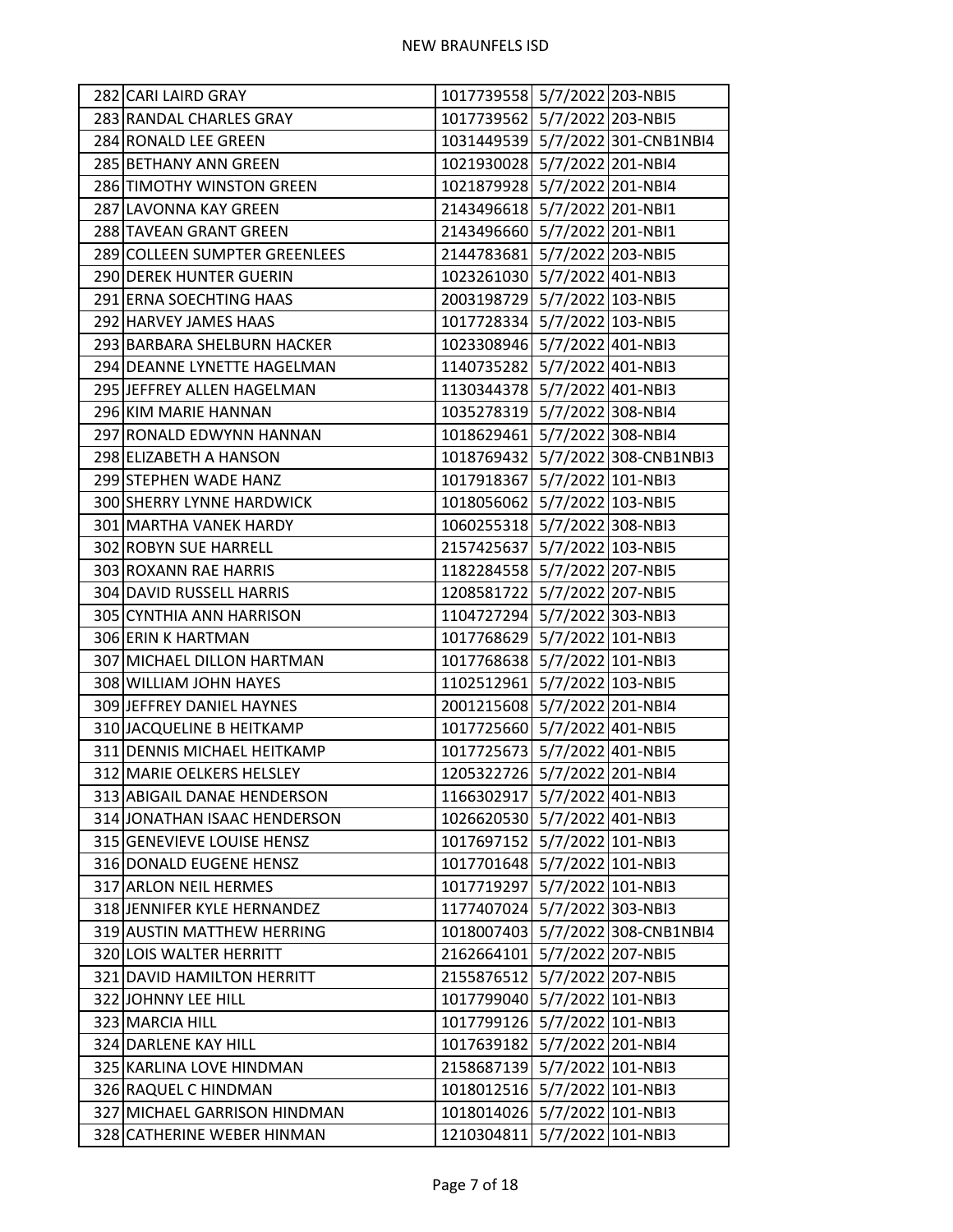| 282 CARI LAIRD GRAY           | 1017739558 5/7/2022 203-NBI5 |                   |                                  |
|-------------------------------|------------------------------|-------------------|----------------------------------|
| 283 RANDAL CHARLES GRAY       | 1017739562 5/7/2022 203-NBI5 |                   |                                  |
| 284 RONALD LEE GREEN          |                              |                   | 1031449539 5/7/2022 301-CNB1NBI4 |
| 285 BETHANY ANN GREEN         | 1021930028 5/7/2022 201-NBI4 |                   |                                  |
| 286 TIMOTHY WINSTON GREEN     | 1021879928 5/7/2022 201-NBI4 |                   |                                  |
| 287 LAVONNA KAY GREEN         | 2143496618 5/7/2022 201-NBI1 |                   |                                  |
| 288 TAVEAN GRANT GREEN        | 2143496660 5/7/2022 201-NBI1 |                   |                                  |
| 289 COLLEEN SUMPTER GREENLEES | 2144783681 5/7/2022 203-NBI5 |                   |                                  |
| 290 DEREK HUNTER GUERIN       | 1023261030 5/7/2022 401-NBI3 |                   |                                  |
| 291 ERNA SOECHTING HAAS       | 2003198729 5/7/2022 103-NBI5 |                   |                                  |
| 292 HARVEY JAMES HAAS         | 1017728334 5/7/2022 103-NBI5 |                   |                                  |
| 293 BARBARA SHELBURN HACKER   | 1023308946 5/7/2022 401-NBI3 |                   |                                  |
| 294 DEANNE LYNETTE HAGELMAN   | 1140735282 5/7/2022 401-NBI3 |                   |                                  |
| 295 JEFFREY ALLEN HAGELMAN    | 1130344378 5/7/2022 401-NBI3 |                   |                                  |
| 296 KIM MARIE HANNAN          | 1035278319 5/7/2022 308-NBI4 |                   |                                  |
| 297 RONALD EDWYNN HANNAN      | 1018629461 5/7/2022 308-NBI4 |                   |                                  |
| 298 ELIZABETH A HANSON        |                              |                   | 1018769432 5/7/2022 308-CNB1NBI3 |
| 299 STEPHEN WADE HANZ         | 1017918367 5/7/2022 101-NBI3 |                   |                                  |
| 300 SHERRY LYNNE HARDWICK     | 1018056062 5/7/2022 103-NBI5 |                   |                                  |
| 301 MARTHA VANEK HARDY        | 1060255318 5/7/2022 308-NBI3 |                   |                                  |
| 302 ROBYN SUE HARRELL         | 2157425637 5/7/2022 103-NBI5 |                   |                                  |
| 303 ROXANN RAE HARRIS         | 1182284558 5/7/2022 207-NBI5 |                   |                                  |
| 304 DAVID RUSSELL HARRIS      | 1208581722 5/7/2022 207-NBI5 |                   |                                  |
| 305 CYNTHIA ANN HARRISON      | 1104727294 5/7/2022 303-NBI3 |                   |                                  |
| 306 ERIN K HARTMAN            | 1017768629 5/7/2022 101-NBI3 |                   |                                  |
| 307 MICHAEL DILLON HARTMAN    | 1017768638 5/7/2022 101-NBI3 |                   |                                  |
| 308 WILLIAM JOHN HAYES        | 1102512961 5/7/2022 103-NBI5 |                   |                                  |
| 309 JEFFREY DANIEL HAYNES     | 2001215608 5/7/2022 201-NBI4 |                   |                                  |
| 310 JACQUELINE B HEITKAMP     | 1017725660 5/7/2022 401-NBI5 |                   |                                  |
| 311 DENNIS MICHAEL HEITKAMP   | 1017725673 5/7/2022 401-NBI5 |                   |                                  |
| 312 MARIE OELKERS HELSLEY     | 1205322726 5/7/2022 201-NBI4 |                   |                                  |
| 313 ABIGAIL DANAE HENDERSON   | 1166302917 5/7/2022 401-NBI3 |                   |                                  |
| 314 JONATHAN ISAAC HENDERSON  | 1026620530 5/7/2022 401-NBI3 |                   |                                  |
| 315 GENEVIEVE LOUISE HENSZ    | 1017697152 5/7/2022 101-NBI3 |                   |                                  |
| 316 DONALD EUGENE HENSZ       | 1017701648                   | 5/7/2022 101-NBI3 |                                  |
| 317 ARLON NEIL HERMES         | 1017719297                   |                   | 5/7/2022 101-NBI3                |
| 318 JENNIFER KYLE HERNANDEZ   | 1177407024                   | 5/7/2022 303-NBI3 |                                  |
| 319 AUSTIN MATTHEW HERRING    | 1018007403                   |                   | 5/7/2022 308-CNB1NBI4            |
| 320 LOIS WALTER HERRITT       | 2162664101                   | 5/7/2022 207-NBI5 |                                  |
| 321 DAVID HAMILTON HERRITT    | 2155876512                   |                   | 5/7/2022 207-NBI5                |
| 322 JOHNNY LEE HILL           | 1017799040                   | 5/7/2022 101-NBI3 |                                  |
| 323 MARCIA HILL               | 1017799126 5/7/2022 101-NBI3 |                   |                                  |
| 324 DARLENE KAY HILL          | 1017639182                   | 5/7/2022 201-NBI4 |                                  |
| 325 KARLINA LOVE HINDMAN      | 2158687139                   | 5/7/2022 101-NBI3 |                                  |
| 326 RAQUEL C HINDMAN          | 1018012516                   |                   | 5/7/2022 101-NBI3                |
| 327 MICHAEL GARRISON HINDMAN  | 1018014026 5/7/2022 101-NBI3 |                   |                                  |
| 328 CATHERINE WEBER HINMAN    | 1210304811                   | 5/7/2022 101-NBI3 |                                  |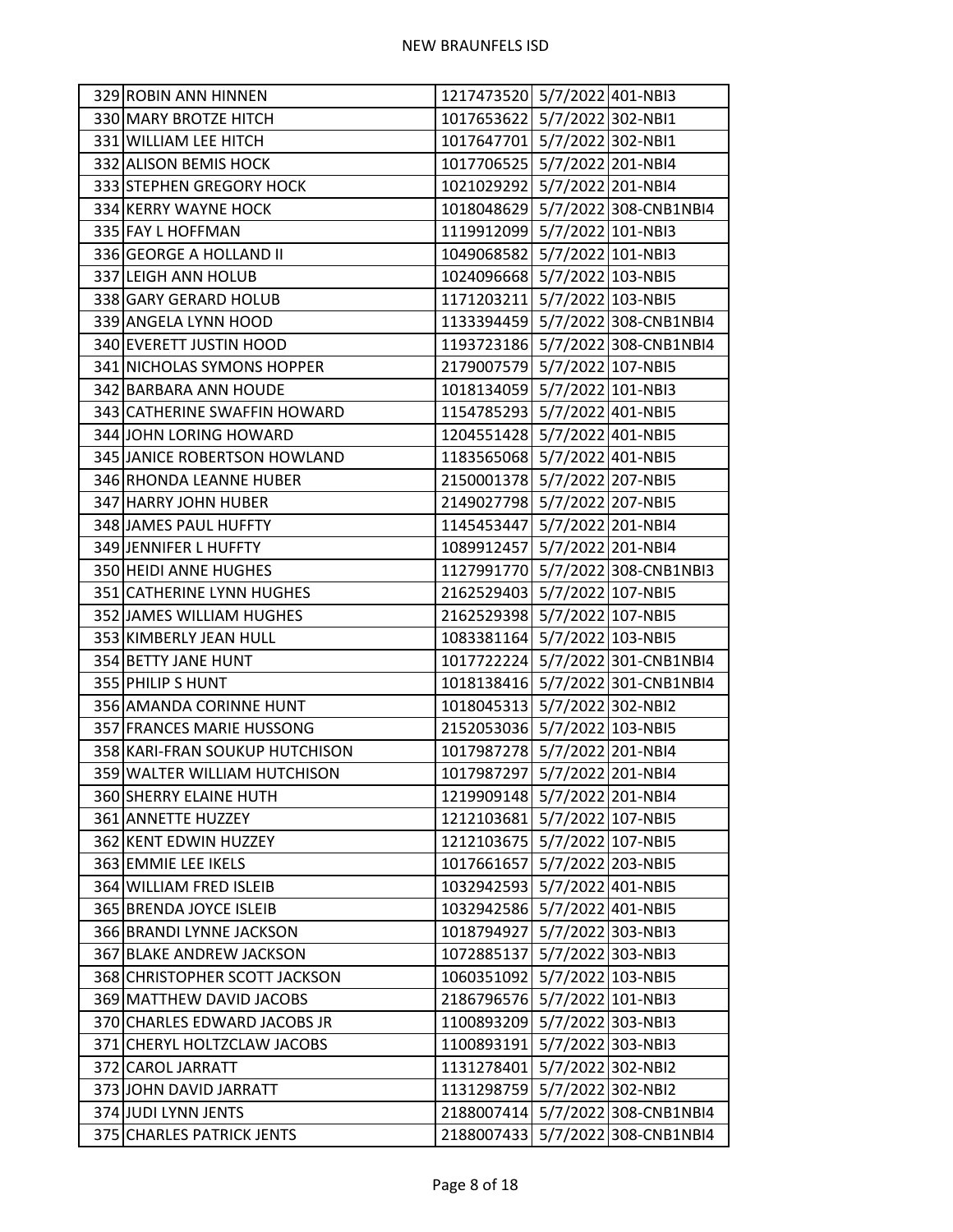| 329 ROBIN ANN HINNEN           | 1217473520 5/7/2022 401-NBI3 |                   |                                  |
|--------------------------------|------------------------------|-------------------|----------------------------------|
| 330 MARY BROTZE HITCH          | 1017653622 5/7/2022 302-NBI1 |                   |                                  |
| 331 WILLIAM LEE HITCH          | 1017647701 5/7/2022 302-NBI1 |                   |                                  |
| 332 ALISON BEMIS HOCK          | 1017706525 5/7/2022 201-NBI4 |                   |                                  |
| 333 STEPHEN GREGORY HOCK       | 1021029292 5/7/2022 201-NBI4 |                   |                                  |
| 334 KERRY WAYNE HOCK           |                              |                   | 1018048629 5/7/2022 308-CNB1NBI4 |
| 335 FAY L HOFFMAN              | 1119912099 5/7/2022 101-NBI3 |                   |                                  |
| 336 GEORGE A HOLLAND II        | 1049068582 5/7/2022 101-NBI3 |                   |                                  |
| 337 LEIGH ANN HOLUB            | 1024096668 5/7/2022 103-NBI5 |                   |                                  |
| 338 GARY GERARD HOLUB          | 1171203211 5/7/2022 103-NBI5 |                   |                                  |
| 339 ANGELA LYNN HOOD           |                              |                   | 1133394459 5/7/2022 308-CNB1NBI4 |
| 340 EVERETT JUSTIN HOOD        |                              |                   | 1193723186 5/7/2022 308-CNB1NBI4 |
| 341 NICHOLAS SYMONS HOPPER     | 2179007579 5/7/2022 107-NBI5 |                   |                                  |
| 342 BARBARA ANN HOUDE          | 1018134059 5/7/2022 101-NBI3 |                   |                                  |
| 343 CATHERINE SWAFFIN HOWARD   | 1154785293 5/7/2022 401-NBI5 |                   |                                  |
| 344 JOHN LORING HOWARD         | 1204551428 5/7/2022 401-NBI5 |                   |                                  |
| 345 JANICE ROBERTSON HOWLAND   | 1183565068 5/7/2022 401-NBI5 |                   |                                  |
| 346 RHONDA LEANNE HUBER        | 2150001378 5/7/2022 207-NBI5 |                   |                                  |
| 347 HARRY JOHN HUBER           | 2149027798 5/7/2022 207-NBI5 |                   |                                  |
| 348 JAMES PAUL HUFFTY          | 1145453447 5/7/2022 201-NBI4 |                   |                                  |
| 349 JENNIFER L HUFFTY          | 1089912457 5/7/2022 201-NBI4 |                   |                                  |
| 350 HEIDI ANNE HUGHES          |                              |                   | 1127991770 5/7/2022 308-CNB1NBI3 |
| 351 CATHERINE LYNN HUGHES      | 2162529403 5/7/2022 107-NBI5 |                   |                                  |
| 352 JAMES WILLIAM HUGHES       | 2162529398 5/7/2022 107-NBI5 |                   |                                  |
| 353 KIMBERLY JEAN HULL         | 1083381164 5/7/2022 103-NBI5 |                   |                                  |
| 354 BETTY JANE HUNT            |                              |                   | 1017722224 5/7/2022 301-CNB1NBI4 |
| 355 PHILIP S HUNT              |                              |                   | 1018138416 5/7/2022 301-CNB1NBI4 |
| 356 AMANDA CORINNE HUNT        | 1018045313 5/7/2022 302-NBI2 |                   |                                  |
| 357 FRANCES MARIE HUSSONG      | 2152053036 5/7/2022 103-NBI5 |                   |                                  |
| 358 KARI-FRAN SOUKUP HUTCHISON | 1017987278 5/7/2022 201-NBI4 |                   |                                  |
| 359 WALTER WILLIAM HUTCHISON   | 1017987297 5/7/2022 201-NBI4 |                   |                                  |
| 360 SHERRY ELAINE HUTH         | 1219909148 5/7/2022 201-NBI4 |                   |                                  |
| 361 ANNETTE HUZZEY             | 1212103681 5/7/2022 107-NBI5 |                   |                                  |
| 362 KENT EDWIN HUZZEY          | 1212103675 5/7/2022 107-NBI5 |                   |                                  |
| 363 EMMIE LEE IKELS            | 1017661657                   |                   | 5/7/2022 203-NBI5                |
| 364 WILLIAM FRED ISLEIB        | 1032942593 5/7/2022 401-NBI5 |                   |                                  |
| 365 BRENDA JOYCE ISLEIB        | 1032942586 5/7/2022 401-NBI5 |                   |                                  |
| 366 BRANDI LYNNE JACKSON       | 1018794927                   |                   | 5/7/2022 303-NBI3                |
| 367 BLAKE ANDREW JACKSON       | 1072885137 5/7/2022 303-NBI3 |                   |                                  |
| 368 CHRISTOPHER SCOTT JACKSON  | 1060351092                   |                   | 5/7/2022 103-NBI5                |
| 369 MATTHEW DAVID JACOBS       | 2186796576 5/7/2022 101-NBI3 |                   |                                  |
| 370 CHARLES EDWARD JACOBS JR   | 1100893209 5/7/2022 303-NBI3 |                   |                                  |
| 371 CHERYL HOLTZCLAW JACOBS    | 1100893191 5/7/2022 303-NBI3 |                   |                                  |
| 372 CAROL JARRATT              | 1131278401                   | 5/7/2022 302-NBI2 |                                  |
| 373 JOHN DAVID JARRATT         | 1131298759                   |                   | 5/7/2022 302-NBI2                |
| 374 JUDI LYNN JENTS            |                              |                   | 2188007414 5/7/2022 308-CNB1NBI4 |
| 375 CHARLES PATRICK JENTS      |                              |                   | 2188007433 5/7/2022 308-CNB1NBI4 |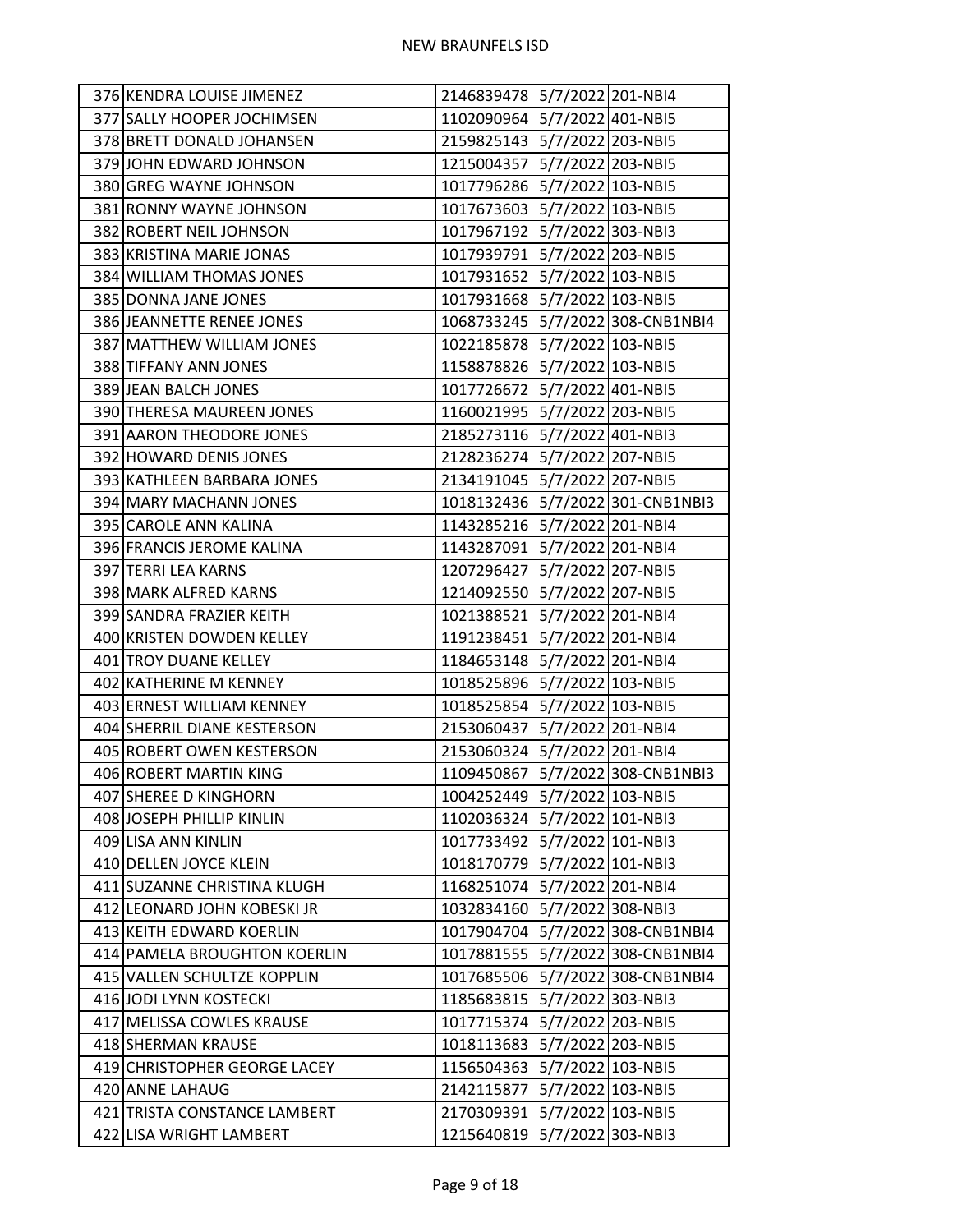| 376 KENDRA LOUISE JIMENEZ    | 2146839478 5/7/2022 201-NBI4 |                                  |
|------------------------------|------------------------------|----------------------------------|
| 377 SALLY HOOPER JOCHIMSEN   | 1102090964 5/7/2022 401-NBI5 |                                  |
| 378 BRETT DONALD JOHANSEN    | 2159825143 5/7/2022 203-NBI5 |                                  |
| 379 JOHN EDWARD JOHNSON      | 1215004357 5/7/2022 203-NBI5 |                                  |
| 380 GREG WAYNE JOHNSON       | 1017796286 5/7/2022 103-NBI5 |                                  |
| 381 RONNY WAYNE JOHNSON      | 1017673603 5/7/2022 103-NBI5 |                                  |
| 382 ROBERT NEIL JOHNSON      | 1017967192 5/7/2022 303-NBI3 |                                  |
| 383 KRISTINA MARIE JONAS     | 1017939791 5/7/2022 203-NBI5 |                                  |
| 384 WILLIAM THOMAS JONES     | 1017931652 5/7/2022 103-NBI5 |                                  |
| 385 DONNA JANE JONES         | 1017931668 5/7/2022 103-NBI5 |                                  |
| 386 JEANNETTE RENEE JONES    |                              | 1068733245 5/7/2022 308-CNB1NBI4 |
| 387 MATTHEW WILLIAM JONES    | 1022185878 5/7/2022 103-NBI5 |                                  |
| 388 TIFFANY ANN JONES        | 1158878826 5/7/2022 103-NBI5 |                                  |
| 389 JEAN BALCH JONES         | 1017726672 5/7/2022 401-NBI5 |                                  |
| 390 THERESA MAUREEN JONES    | 1160021995 5/7/2022 203-NBI5 |                                  |
| 391 AARON THEODORE JONES     | 2185273116 5/7/2022 401-NBI3 |                                  |
| 392 HOWARD DENIS JONES       | 2128236274 5/7/2022 207-NBI5 |                                  |
| 393 KATHLEEN BARBARA JONES   | 2134191045 5/7/2022 207-NBI5 |                                  |
| 394 MARY MACHANN JONES       |                              | 1018132436 5/7/2022 301-CNB1NBI3 |
| 395 CAROLE ANN KALINA        | 1143285216 5/7/2022 201-NBI4 |                                  |
| 396 FRANCIS JEROME KALINA    | 1143287091 5/7/2022 201-NBI4 |                                  |
| 397 TERRI LEA KARNS          | 1207296427 5/7/2022 207-NBI5 |                                  |
| 398 MARK ALFRED KARNS        | 1214092550 5/7/2022 207-NBI5 |                                  |
| 399 SANDRA FRAZIER KEITH     | 1021388521 5/7/2022 201-NBI4 |                                  |
| 400 KRISTEN DOWDEN KELLEY    | 1191238451 5/7/2022 201-NBI4 |                                  |
| 401 TROY DUANE KELLEY        | 1184653148 5/7/2022 201-NBI4 |                                  |
| 402 KATHERINE M KENNEY       | 1018525896 5/7/2022 103-NBI5 |                                  |
| 403 ERNEST WILLIAM KENNEY    | 1018525854 5/7/2022 103-NBI5 |                                  |
| 404 SHERRIL DIANE KESTERSON  | 2153060437 5/7/2022 201-NBI4 |                                  |
| 405 ROBERT OWEN KESTERSON    | 2153060324 5/7/2022 201-NBI4 |                                  |
| 406 ROBERT MARTIN KING       |                              | 1109450867 5/7/2022 308-CNB1NBI3 |
| 407 SHEREE D KINGHORN        | 1004252449 5/7/2022 103-NBI5 |                                  |
| 408 JOSEPH PHILLIP KINLIN    | 1102036324 5/7/2022 101-NBI3 |                                  |
| 409 LISA ANN KINLIN          | 1017733492 5/7/2022 101-NBI3 |                                  |
| 410 DELLEN JOYCE KLEIN       | 1018170779 5/7/2022 101-NBI3 |                                  |
| 411 SUZANNE CHRISTINA KLUGH  | 1168251074 5/7/2022 201-NBI4 |                                  |
| 412 LEONARD JOHN KOBESKI JR  | 1032834160 5/7/2022 308-NBI3 |                                  |
| 413 KEITH EDWARD KOERLIN     |                              | 1017904704 5/7/2022 308-CNB1NBI4 |
| 414 PAMELA BROUGHTON KOERLIN |                              | 1017881555 5/7/2022 308-CNB1NBI4 |
| 415 VALLEN SCHULTZE KOPPLIN  |                              | 1017685506 5/7/2022 308-CNB1NBI4 |
| 416 JODI LYNN KOSTECKI       | 1185683815 5/7/2022 303-NBI3 |                                  |
| 417 MELISSA COWLES KRAUSE    | 1017715374 5/7/2022 203-NBI5 |                                  |
| 418 SHERMAN KRAUSE           | 1018113683 5/7/2022 203-NBI5 |                                  |
| 419 CHRISTOPHER GEORGE LACEY | 1156504363 5/7/2022 103-NBI5 |                                  |
| 420 ANNE LAHAUG              | 2142115877 5/7/2022 103-NBI5 |                                  |
| 421 TRISTA CONSTANCE LAMBERT | 2170309391 5/7/2022 103-NBI5 |                                  |
| 422 LISA WRIGHT LAMBERT      | 1215640819 5/7/2022 303-NBI3 |                                  |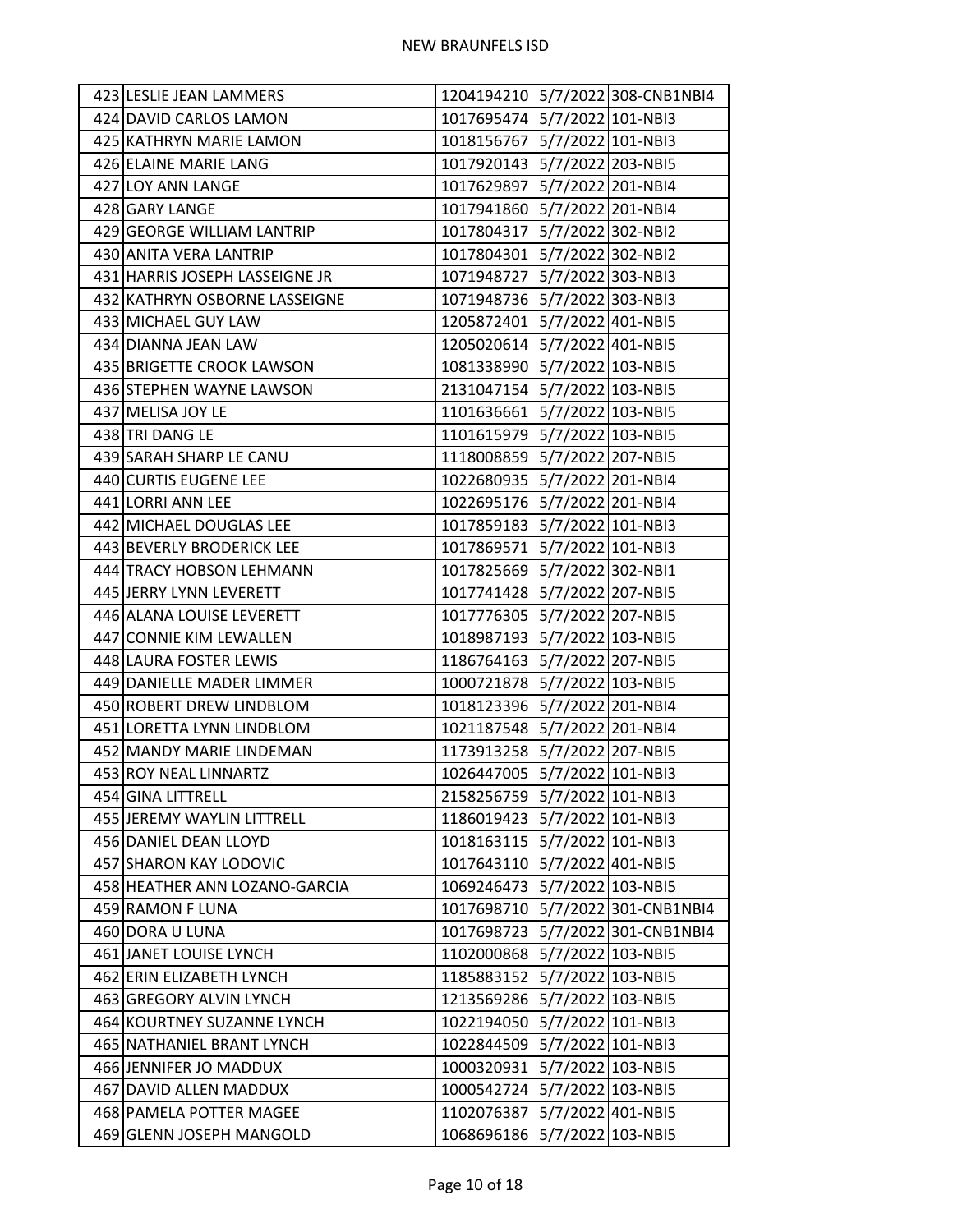| 423 LESLIE JEAN LAMMERS        |                              | 1204194210 5/7/2022 308-CNB1NBI4 |
|--------------------------------|------------------------------|----------------------------------|
| 424 DAVID CARLOS LAMON         | 1017695474 5/7/2022 101-NBI3 |                                  |
| 425 KATHRYN MARIE LAMON        | 1018156767 5/7/2022 101-NBI3 |                                  |
| 426 ELAINE MARIE LANG          | 1017920143 5/7/2022 203-NBI5 |                                  |
| 427 LOY ANN LANGE              | 1017629897 5/7/2022 201-NBI4 |                                  |
| 428 GARY LANGE                 | 1017941860 5/7/2022 201-NBI4 |                                  |
| 429 GEORGE WILLIAM LANTRIP     | 1017804317 5/7/2022 302-NBI2 |                                  |
| 430 ANITA VERA LANTRIP         | 1017804301 5/7/2022 302-NBI2 |                                  |
| 431 HARRIS JOSEPH LASSEIGNE JR | 1071948727 5/7/2022 303-NBI3 |                                  |
| 432 KATHRYN OSBORNE LASSEIGNE  | 1071948736 5/7/2022 303-NBI3 |                                  |
| 433 MICHAEL GUY LAW            | 1205872401 5/7/2022 401-NBI5 |                                  |
| 434 DIANNA JEAN LAW            | 1205020614 5/7/2022 401-NBI5 |                                  |
| 435 BRIGETTE CROOK LAWSON      | 1081338990 5/7/2022 103-NBI5 |                                  |
| 436 STEPHEN WAYNE LAWSON       | 2131047154 5/7/2022 103-NBI5 |                                  |
| 437 MELISA JOY LE              | 1101636661 5/7/2022 103-NBI5 |                                  |
| 438 TRI DANG LE                | 1101615979 5/7/2022 103-NBI5 |                                  |
| 439 SARAH SHARP LE CANU        | 1118008859 5/7/2022 207-NBI5 |                                  |
| 440 CURTIS EUGENE LEE          | 1022680935 5/7/2022 201-NBI4 |                                  |
| 441 LORRI ANN LEE              | 1022695176 5/7/2022 201-NBI4 |                                  |
| 442 MICHAEL DOUGLAS LEE        | 1017859183 5/7/2022 101-NBI3 |                                  |
| 443 BEVERLY BRODERICK LEE      | 1017869571 5/7/2022 101-NBI3 |                                  |
| 444 TRACY HOBSON LEHMANN       | 1017825669 5/7/2022 302-NBI1 |                                  |
| 445 JERRY LYNN LEVERETT        | 1017741428 5/7/2022 207-NBI5 |                                  |
| 446 ALANA LOUISE LEVERETT      | 1017776305 5/7/2022 207-NBI5 |                                  |
| 447 CONNIE KIM LEWALLEN        | 1018987193 5/7/2022 103-NBI5 |                                  |
| 448 LAURA FOSTER LEWIS         | 1186764163 5/7/2022 207-NBI5 |                                  |
| 449 DANIELLE MADER LIMMER      | 1000721878 5/7/2022 103-NBI5 |                                  |
| 450 ROBERT DREW LINDBLOM       | 1018123396 5/7/2022 201-NBI4 |                                  |
| 451 LORETTA LYNN LINDBLOM      | 1021187548 5/7/2022 201-NBI4 |                                  |
| 452 MANDY MARIE LINDEMAN       | 1173913258 5/7/2022 207-NBI5 |                                  |
| 453 ROY NEAL LINNARTZ          | 1026447005 5/7/2022 101-NBI3 |                                  |
| 454 GINA LITTRELL              | 2158256759 5/7/2022 101-NBI3 |                                  |
| 455 JEREMY WAYLIN LITTRELL     | 1186019423 5/7/2022 101-NBI3 |                                  |
| 456 DANIEL DEAN LLOYD          | 1018163115 5/7/2022 101-NBI3 |                                  |
| 457 SHARON KAY LODOVIC         | 1017643110 5/7/2022 401-NBI5 |                                  |
| 458 HEATHER ANN LOZANO-GARCIA  | 1069246473 5/7/2022 103-NBI5 |                                  |
| 459 RAMON F LUNA               |                              | 1017698710 5/7/2022 301-CNB1NBI4 |
| 460 DORA U LUNA                |                              | 1017698723 5/7/2022 301-CNB1NBI4 |
| 461 JANET LOUISE LYNCH         | 1102000868 5/7/2022 103-NBI5 |                                  |
| 462 ERIN ELIZABETH LYNCH       | 1185883152                   | 5/7/2022 103-NBI5                |
| 463 GREGORY ALVIN LYNCH        | 1213569286 5/7/2022 103-NBI5 |                                  |
| 464 KOURTNEY SUZANNE LYNCH     | 1022194050 5/7/2022 101-NBI3 |                                  |
| 465 NATHANIEL BRANT LYNCH      | 1022844509 5/7/2022 101-NBI3 |                                  |
| 466 JENNIFER JO MADDUX         | 1000320931 5/7/2022 103-NBI5 |                                  |
| 467 DAVID ALLEN MADDUX         | 1000542724                   | 5/7/2022 103-NBI5                |
| 468 PAMELA POTTER MAGEE        | 1102076387 5/7/2022 401-NBI5 |                                  |
| 469 GLENN JOSEPH MANGOLD       | 1068696186 5/7/2022 103-NBI5 |                                  |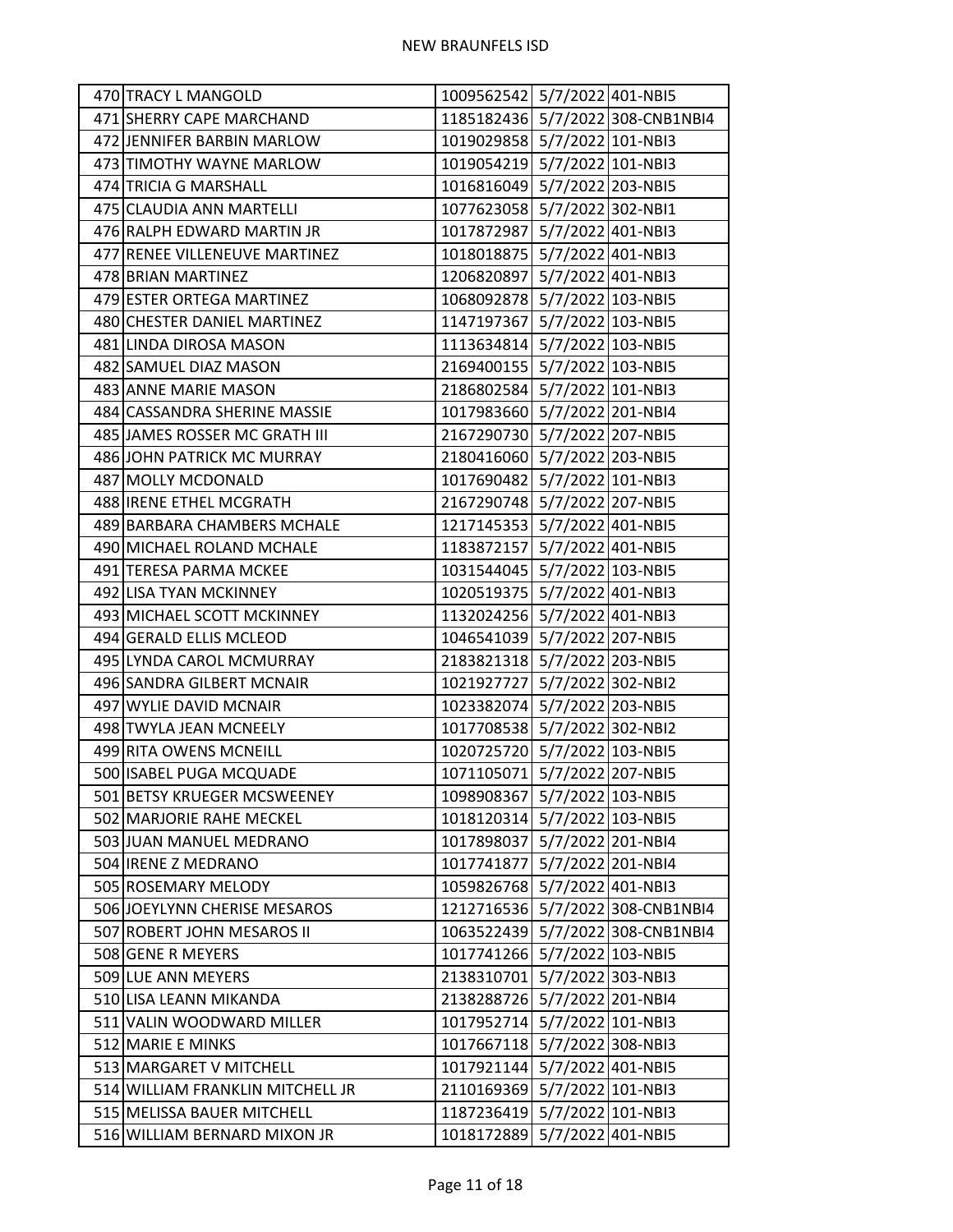| 470 TRACY L MANGOLD              | 1009562542 5/7/2022 401-NBI5     |  |
|----------------------------------|----------------------------------|--|
| 471 SHERRY CAPE MARCHAND         | 1185182436 5/7/2022 308-CNB1NBI4 |  |
| 472 JENNIFER BARBIN MARLOW       | 1019029858 5/7/2022 101-NBI3     |  |
| 473 TIMOTHY WAYNE MARLOW         | 1019054219 5/7/2022 101-NBI3     |  |
| 474 TRICIA G MARSHALL            | 1016816049 5/7/2022 203-NBI5     |  |
| 475 CLAUDIA ANN MARTELLI         | 1077623058 5/7/2022 302-NBI1     |  |
| 476 RALPH EDWARD MARTIN JR       | 1017872987 5/7/2022 401-NBI3     |  |
| 477 RENEE VILLENEUVE MARTINEZ    | 1018018875 5/7/2022 401-NBI3     |  |
| 478 BRIAN MARTINEZ               | 1206820897 5/7/2022 401-NBI3     |  |
| 479 ESTER ORTEGA MARTINEZ        | 1068092878 5/7/2022 103-NBI5     |  |
| 480 CHESTER DANIEL MARTINEZ      | 1147197367 5/7/2022 103-NBI5     |  |
| 481 LINDA DIROSA MASON           | 1113634814 5/7/2022 103-NBI5     |  |
| 482 SAMUEL DIAZ MASON            | 2169400155 5/7/2022 103-NBI5     |  |
| 483 ANNE MARIE MASON             | 2186802584 5/7/2022 101-NBI3     |  |
| 484 CASSANDRA SHERINE MASSIE     | 1017983660 5/7/2022 201-NBI4     |  |
| 485 JAMES ROSSER MC GRATH III    | 2167290730 5/7/2022 207-NBI5     |  |
| 486 JOHN PATRICK MC MURRAY       | 2180416060 5/7/2022 203-NBI5     |  |
| 487 MOLLY MCDONALD               | 1017690482 5/7/2022 101-NBI3     |  |
| 488   IRENE ETHEL MCGRATH        | 2167290748 5/7/2022 207-NBI5     |  |
| 489 BARBARA CHAMBERS MCHALE      | 1217145353 5/7/2022 401-NBI5     |  |
| 490 MICHAEL ROLAND MCHALE        | 1183872157 5/7/2022 401-NBI5     |  |
| 491 TERESA PARMA MCKEE           | 1031544045 5/7/2022 103-NBI5     |  |
| 492 LISA TYAN MCKINNEY           | 1020519375 5/7/2022 401-NBI3     |  |
| 493 MICHAEL SCOTT MCKINNEY       | 1132024256 5/7/2022 401-NBI3     |  |
| 494 GERALD ELLIS MCLEOD          | 1046541039 5/7/2022 207-NBI5     |  |
| 495 LYNDA CAROL MCMURRAY         | 2183821318 5/7/2022 203-NBI5     |  |
| 496 SANDRA GILBERT MCNAIR        | 1021927727 5/7/2022 302-NBI2     |  |
| 497 WYLIE DAVID MCNAIR           | 1023382074 5/7/2022 203-NBI5     |  |
| 498 TWYLA JEAN MCNEELY           | 1017708538 5/7/2022 302-NBI2     |  |
| 499 RITA OWENS MCNEILL           | 1020725720 5/7/2022 103-NBI5     |  |
| 500 ISABEL PUGA MCQUADE          | 1071105071 5/7/2022 207-NBI5     |  |
| 501 BETSY KRUEGER MCSWEENEY      | 1098908367 5/7/2022 103-NBI5     |  |
| 502 MARJORIE RAHE MECKEL         | 1018120314 5/7/2022 103-NBI5     |  |
| 503 JUAN MANUEL MEDRANO          | 1017898037 5/7/2022 201-NBI4     |  |
| 504 IRENE Z MEDRANO              | 1017741877 5/7/2022 201-NBI4     |  |
| 505 ROSEMARY MELODY              | 1059826768 5/7/2022 401-NBI3     |  |
| 506 JOEYLYNN CHERISE MESAROS     | 1212716536 5/7/2022 308-CNB1NBI4 |  |
| 507 ROBERT JOHN MESAROS II       | 1063522439 5/7/2022 308-CNB1NBI4 |  |
| 508 GENE R MEYERS                | 1017741266 5/7/2022 103-NBI5     |  |
| 509 LUE ANN MEYERS               | 2138310701 5/7/2022 303-NBI3     |  |
| 510 LISA LEANN MIKANDA           | 2138288726 5/7/2022 201-NBI4     |  |
| 511 VALIN WOODWARD MILLER        | 1017952714 5/7/2022 101-NBI3     |  |
| 512 MARIE E MINKS                | 1017667118 5/7/2022 308-NBI3     |  |
| 513 MARGARET V MITCHELL          | 1017921144 5/7/2022 401-NBI5     |  |
| 514 WILLIAM FRANKLIN MITCHELL JR | 2110169369 5/7/2022 101-NBI3     |  |
| 515 MELISSA BAUER MITCHELL       | 1187236419 5/7/2022 101-NBI3     |  |
| 516 WILLIAM BERNARD MIXON JR     | 1018172889 5/7/2022 401-NBI5     |  |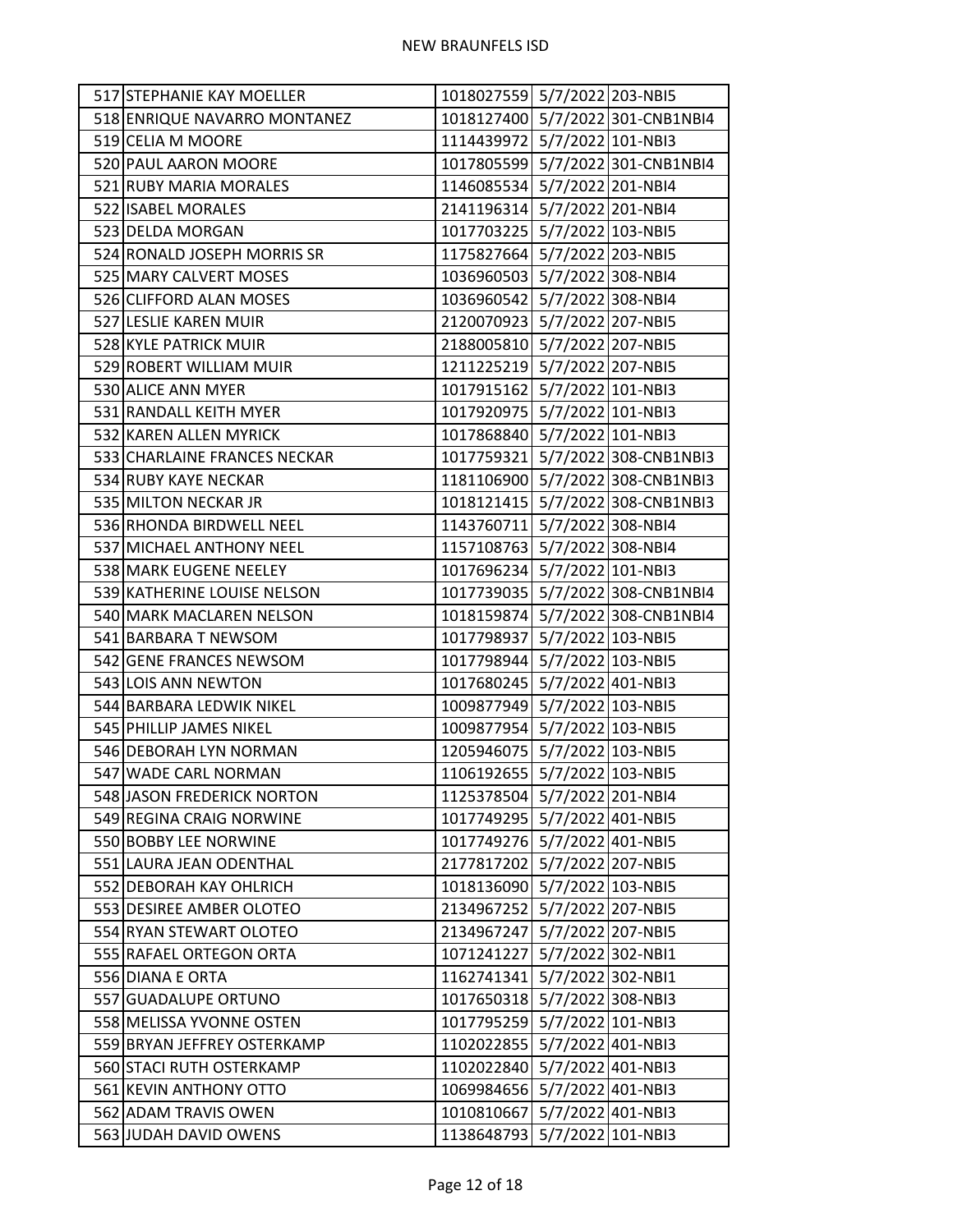| 517 STEPHANIE KAY MOELLER    | 1018027559 5/7/2022 203-NBI5 |                                  |
|------------------------------|------------------------------|----------------------------------|
| 518 ENRIQUE NAVARRO MONTANEZ |                              | 1018127400 5/7/2022 301-CNB1NBI4 |
| 519 CELIA M MOORE            | 1114439972 5/7/2022 101-NBI3 |                                  |
| 520 PAUL AARON MOORE         |                              | 1017805599 5/7/2022 301-CNB1NBI4 |
| 521 RUBY MARIA MORALES       | 1146085534 5/7/2022 201-NBI4 |                                  |
| 522 ISABEL MORALES           | 2141196314 5/7/2022 201-NBI4 |                                  |
| 523 DELDA MORGAN             | 1017703225 5/7/2022 103-NBI5 |                                  |
| 524 RONALD JOSEPH MORRIS SR  | 1175827664 5/7/2022 203-NBI5 |                                  |
| 525 MARY CALVERT MOSES       | 1036960503 5/7/2022 308-NBI4 |                                  |
| 526 CLIFFORD ALAN MOSES      | 1036960542 5/7/2022 308-NBI4 |                                  |
| 527 LESLIE KAREN MUIR        | 2120070923 5/7/2022 207-NBI5 |                                  |
| 528 KYLE PATRICK MUIR        | 2188005810 5/7/2022 207-NBI5 |                                  |
| 529 ROBERT WILLIAM MUIR      | 1211225219 5/7/2022 207-NBI5 |                                  |
| 530 ALICE ANN MYER           | 1017915162 5/7/2022 101-NBI3 |                                  |
| 531 RANDALL KEITH MYER       | 1017920975 5/7/2022 101-NBI3 |                                  |
| 532 KAREN ALLEN MYRICK       | 1017868840 5/7/2022 101-NBI3 |                                  |
| 533 CHARLAINE FRANCES NECKAR |                              | 1017759321 5/7/2022 308-CNB1NBI3 |
| 534 RUBY KAYE NECKAR         |                              | 1181106900 5/7/2022 308-CNB1NBI3 |
| 535 MILTON NECKAR JR         |                              | 1018121415 5/7/2022 308-CNB1NBI3 |
| 536 RHONDA BIRDWELL NEEL     | 1143760711 5/7/2022 308-NBI4 |                                  |
| 537 MICHAEL ANTHONY NEEL     | 1157108763 5/7/2022 308-NBI4 |                                  |
| 538 MARK EUGENE NEELEY       | 1017696234 5/7/2022 101-NBI3 |                                  |
| 539 KATHERINE LOUISE NELSON  |                              | 1017739035 5/7/2022 308-CNB1NBI4 |
| 540 MARK MACLAREN NELSON     |                              | 1018159874 5/7/2022 308-CNB1NBI4 |
| 541 BARBARA T NEWSOM         | 1017798937 5/7/2022 103-NBI5 |                                  |
| 542 GENE FRANCES NEWSOM      | 1017798944 5/7/2022 103-NBI5 |                                  |
| 543 LOIS ANN NEWTON          | 1017680245 5/7/2022 401-NBI3 |                                  |
| 544 BARBARA LEDWIK NIKEL     | 1009877949 5/7/2022 103-NBI5 |                                  |
| 545 PHILLIP JAMES NIKEL      | 1009877954 5/7/2022 103-NBI5 |                                  |
| 546 DEBORAH LYN NORMAN       | 1205946075 5/7/2022 103-NBI5 |                                  |
| 547 WADE CARL NORMAN         | 1106192655 5/7/2022 103-NBI5 |                                  |
| 548 JASON FREDERICK NORTON   | 1125378504 5/7/2022 201-NBI4 |                                  |
| 549 REGINA CRAIG NORWINE     | 1017749295 5/7/2022 401-NBI5 |                                  |
| 550 BOBBY LEE NORWINE        | 1017749276 5/7/2022 401-NBI5 |                                  |
| 551 LAURA JEAN ODENTHAL      | 2177817202 5/7/2022 207-NBI5 |                                  |
| 552 DEBORAH KAY OHLRICH      | 1018136090 5/7/2022 103-NBI5 |                                  |
| 553 DESIREE AMBER OLOTEO     | 2134967252 5/7/2022 207-NBI5 |                                  |
| 554 RYAN STEWART OLOTEO      | 2134967247 5/7/2022 207-NBI5 |                                  |
| 555 RAFAEL ORTEGON ORTA      | 1071241227 5/7/2022 302-NBI1 |                                  |
| 556 DIANA E ORTA             | 1162741341 5/7/2022 302-NBI1 |                                  |
| 557 GUADALUPE ORTUNO         | 1017650318 5/7/2022 308-NBI3 |                                  |
| 558 MELISSA YVONNE OSTEN     | 1017795259 5/7/2022 101-NBI3 |                                  |
| 559 BRYAN JEFFREY OSTERKAMP  | 1102022855 5/7/2022 401-NBI3 |                                  |
| 560 STACI RUTH OSTERKAMP     | 1102022840 5/7/2022 401-NBI3 |                                  |
| 561 KEVIN ANTHONY OTTO       | 1069984656 5/7/2022 401-NBI3 |                                  |
| 562 ADAM TRAVIS OWEN         | 1010810667 5/7/2022 401-NBI3 |                                  |
| 563 JUDAH DAVID OWENS        | 1138648793 5/7/2022 101-NBI3 |                                  |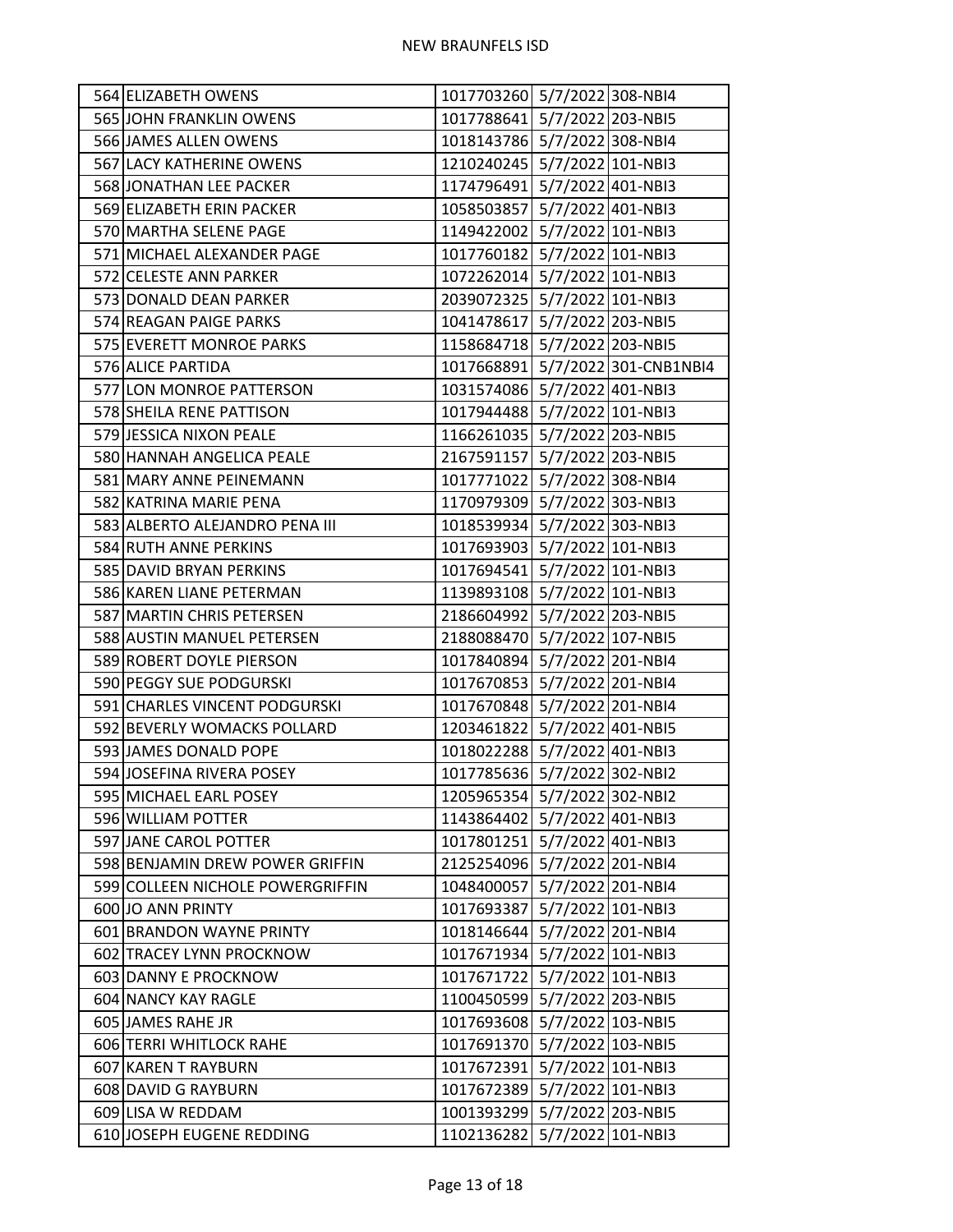| 564 ELIZABETH OWENS              | 1017703260 5/7/2022 308-NBI4 |                                  |
|----------------------------------|------------------------------|----------------------------------|
| 565 JOHN FRANKLIN OWENS          | 1017788641 5/7/2022 203-NBI5 |                                  |
| 566 JAMES ALLEN OWENS            | 1018143786 5/7/2022 308-NBI4 |                                  |
| 567 LACY KATHERINE OWENS         | 1210240245 5/7/2022 101-NBI3 |                                  |
| 568 JONATHAN LEE PACKER          | 1174796491 5/7/2022 401-NBI3 |                                  |
| 569 ELIZABETH ERIN PACKER        | 1058503857 5/7/2022 401-NBI3 |                                  |
| 570 MARTHA SELENE PAGE           | 1149422002 5/7/2022 101-NBI3 |                                  |
| 571 MICHAEL ALEXANDER PAGE       | 1017760182 5/7/2022 101-NBI3 |                                  |
| 572 CELESTE ANN PARKER           | 1072262014 5/7/2022 101-NBI3 |                                  |
| 573 DONALD DEAN PARKER           | 2039072325 5/7/2022 101-NBI3 |                                  |
| 574 REAGAN PAIGE PARKS           | 1041478617 5/7/2022 203-NBI5 |                                  |
| 575 EVERETT MONROE PARKS         | 1158684718 5/7/2022 203-NBI5 |                                  |
| 576 ALICE PARTIDA                |                              | 1017668891 5/7/2022 301-CNB1NBI4 |
| 577 LON MONROE PATTERSON         | 1031574086 5/7/2022 401-NBI3 |                                  |
| 578 SHEILA RENE PATTISON         | 1017944488 5/7/2022 101-NBI3 |                                  |
| 579 JESSICA NIXON PEALE          | 1166261035 5/7/2022 203-NBI5 |                                  |
| 580 HANNAH ANGELICA PEALE        | 2167591157 5/7/2022 203-NBI5 |                                  |
| 581 MARY ANNE PEINEMANN          | 1017771022 5/7/2022 308-NBI4 |                                  |
| 582 KATRINA MARIE PENA           | 1170979309 5/7/2022 303-NBI3 |                                  |
| 583 ALBERTO ALEJANDRO PENA III   | 1018539934 5/7/2022 303-NBI3 |                                  |
| 584 RUTH ANNE PERKINS            | 1017693903 5/7/2022 101-NBI3 |                                  |
| 585 DAVID BRYAN PERKINS          | 1017694541 5/7/2022 101-NBI3 |                                  |
| 586 KAREN LIANE PETERMAN         | 1139893108 5/7/2022 101-NBI3 |                                  |
| 587 MARTIN CHRIS PETERSEN        | 2186604992 5/7/2022 203-NBI5 |                                  |
| 588 AUSTIN MANUEL PETERSEN       | 2188088470 5/7/2022 107-NBI5 |                                  |
| 589 ROBERT DOYLE PIERSON         | 1017840894 5/7/2022 201-NBI4 |                                  |
| 590 PEGGY SUE PODGURSKI          | 1017670853 5/7/2022 201-NBI4 |                                  |
| 591 CHARLES VINCENT PODGURSKI    | 1017670848 5/7/2022 201-NBI4 |                                  |
| 592 BEVERLY WOMACKS POLLARD      | 1203461822 5/7/2022 401-NBI5 |                                  |
| 593 JAMES DONALD POPE            | 1018022288 5/7/2022 401-NBI3 |                                  |
| 594 JOSEFINA RIVERA POSEY        | 1017785636 5/7/2022 302-NBI2 |                                  |
| 595 MICHAEL EARL POSEY           | 1205965354 5/7/2022 302-NBI2 |                                  |
| 596 WILLIAM POTTER               | 1143864402 5/7/2022 401-NBI3 |                                  |
| 597 JANE CAROL POTTER            | 1017801251 5/7/2022 401-NBI3 |                                  |
| 598 BENJAMIN DREW POWER GRIFFIN  | 2125254096 5/7/2022 201-NBI4 |                                  |
| 599 COLLEEN NICHOLE POWERGRIFFIN | 1048400057 5/7/2022 201-NBI4 |                                  |
| 600 JO ANN PRINTY                | 1017693387 5/7/2022 101-NBI3 |                                  |
| 601 BRANDON WAYNE PRINTY         | 1018146644 5/7/2022 201-NBI4 |                                  |
| 602 TRACEY LYNN PROCKNOW         | 1017671934 5/7/2022 101-NBI3 |                                  |
| 603 DANNY E PROCKNOW             | 1017671722 5/7/2022 101-NBI3 |                                  |
| 604 NANCY KAY RAGLE              | 1100450599 5/7/2022 203-NBI5 |                                  |
| 605 JAMES RAHE JR                | 1017693608 5/7/2022 103-NBI5 |                                  |
| 606 TERRI WHITLOCK RAHE          | 1017691370 5/7/2022 103-NBI5 |                                  |
| 607 KAREN T RAYBURN              | 1017672391 5/7/2022 101-NBI3 |                                  |
| 608 DAVID G RAYBURN              | 1017672389 5/7/2022 101-NBI3 |                                  |
| 609 LISA W REDDAM                | 1001393299 5/7/2022 203-NBI5 |                                  |
| 610 JOSEPH EUGENE REDDING        | 1102136282 5/7/2022 101-NBI3 |                                  |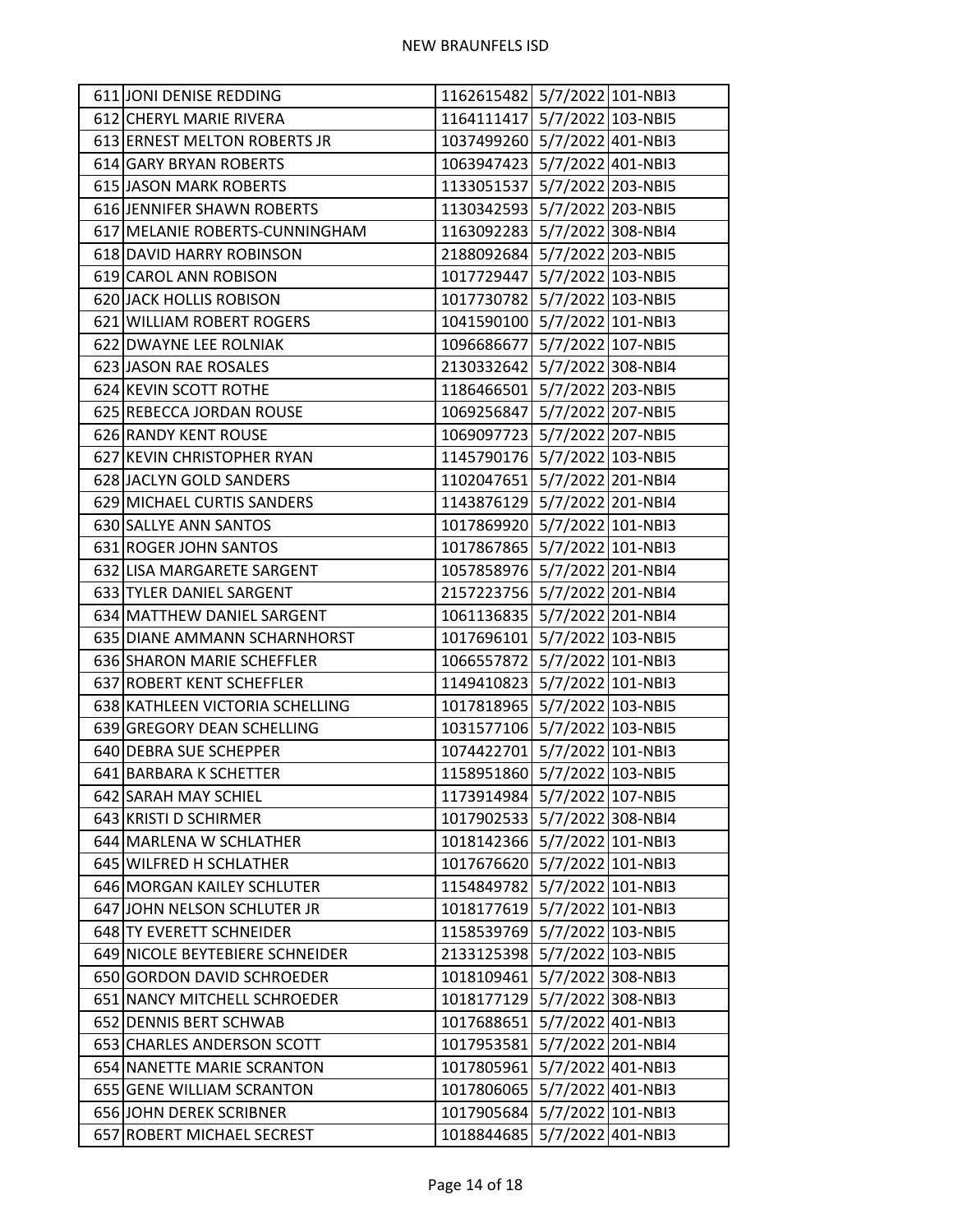| 611 JONI DENISE REDDING         | 1162615482 5/7/2022 101-NBI3 |  |
|---------------------------------|------------------------------|--|
| 612 CHERYL MARIE RIVERA         | 1164111417 5/7/2022 103-NBI5 |  |
| 613 ERNEST MELTON ROBERTS JR    | 1037499260 5/7/2022 401-NBI3 |  |
| 614 GARY BRYAN ROBERTS          | 1063947423 5/7/2022 401-NBI3 |  |
| 615 JASON MARK ROBERTS          | 1133051537 5/7/2022 203-NBI5 |  |
| 616 JENNIFER SHAWN ROBERTS      | 1130342593 5/7/2022 203-NBI5 |  |
| 617 MELANIE ROBERTS-CUNNINGHAM  | 1163092283 5/7/2022 308-NBI4 |  |
| 618 DAVID HARRY ROBINSON        | 2188092684 5/7/2022 203-NBI5 |  |
| 619 CAROL ANN ROBISON           | 1017729447 5/7/2022 103-NBI5 |  |
| 620 JACK HOLLIS ROBISON         | 1017730782 5/7/2022 103-NBI5 |  |
| 621 WILLIAM ROBERT ROGERS       | 1041590100 5/7/2022 101-NBI3 |  |
| 622 DWAYNE LEE ROLNIAK          | 1096686677 5/7/2022 107-NBI5 |  |
| 623 JASON RAE ROSALES           | 2130332642 5/7/2022 308-NBI4 |  |
| 624 KEVIN SCOTT ROTHE           | 1186466501 5/7/2022 203-NBI5 |  |
| 625 REBECCA JORDAN ROUSE        | 1069256847 5/7/2022 207-NBI5 |  |
| 626 RANDY KENT ROUSE            | 1069097723 5/7/2022 207-NBI5 |  |
| 627 KEVIN CHRISTOPHER RYAN      | 1145790176 5/7/2022 103-NBI5 |  |
| 628 JACLYN GOLD SANDERS         | 1102047651 5/7/2022 201-NBI4 |  |
| 629 MICHAEL CURTIS SANDERS      | 1143876129 5/7/2022 201-NBI4 |  |
| 630 SALLYE ANN SANTOS           | 1017869920 5/7/2022 101-NBI3 |  |
| 631 ROGER JOHN SANTOS           | 1017867865 5/7/2022 101-NBI3 |  |
| 632 LISA MARGARETE SARGENT      | 1057858976 5/7/2022 201-NBI4 |  |
| 633 TYLER DANIEL SARGENT        | 2157223756 5/7/2022 201-NBI4 |  |
| 634 MATTHEW DANIEL SARGENT      | 1061136835 5/7/2022 201-NBI4 |  |
| 635 DIANE AMMANN SCHARNHORST    | 1017696101 5/7/2022 103-NBI5 |  |
| 636 SHARON MARIE SCHEFFLER      | 1066557872 5/7/2022 101-NBI3 |  |
| 637 ROBERT KENT SCHEFFLER       | 1149410823 5/7/2022 101-NBI3 |  |
| 638 KATHLEEN VICTORIA SCHELLING | 1017818965 5/7/2022 103-NBI5 |  |
| 639 GREGORY DEAN SCHELLING      | 1031577106 5/7/2022 103-NBI5 |  |
| 640 DEBRA SUE SCHEPPER          | 1074422701 5/7/2022 101-NBI3 |  |
| 641 BARBARA K SCHETTER          | 1158951860 5/7/2022 103-NBI5 |  |
| 642 SARAH MAY SCHIEL            | 1173914984 5/7/2022 107-NBI5 |  |
| 643 KRISTI D SCHIRMER           | 1017902533 5/7/2022 308-NBI4 |  |
| 644 MARLENA W SCHLATHER         | 1018142366 5/7/2022 101-NBI3 |  |
| 645 WILFRED H SCHLATHER         | 1017676620 5/7/2022 101-NBI3 |  |
| 646 MORGAN KAILEY SCHLUTER      | 1154849782 5/7/2022 101-NBI3 |  |
| 647 JOHN NELSON SCHLUTER JR     | 1018177619 5/7/2022 101-NBI3 |  |
| 648 TY EVERETT SCHNEIDER        | 1158539769 5/7/2022 103-NBI5 |  |
| 649 NICOLE BEYTEBIERE SCHNEIDER | 2133125398 5/7/2022 103-NBI5 |  |
| 650 GORDON DAVID SCHROEDER      | 1018109461 5/7/2022 308-NBI3 |  |
| 651 NANCY MITCHELL SCHROEDER    | 1018177129 5/7/2022 308-NBI3 |  |
| 652 DENNIS BERT SCHWAB          | 1017688651 5/7/2022 401-NBI3 |  |
| 653 CHARLES ANDERSON SCOTT      | 1017953581 5/7/2022 201-NBI4 |  |
| 654 NANETTE MARIE SCRANTON      | 1017805961 5/7/2022 401-NBI3 |  |
| 655 GENE WILLIAM SCRANTON       | 1017806065 5/7/2022 401-NBI3 |  |
| 656 JOHN DEREK SCRIBNER         | 1017905684 5/7/2022 101-NBI3 |  |
| 657 ROBERT MICHAEL SECREST      | 1018844685 5/7/2022 401-NBI3 |  |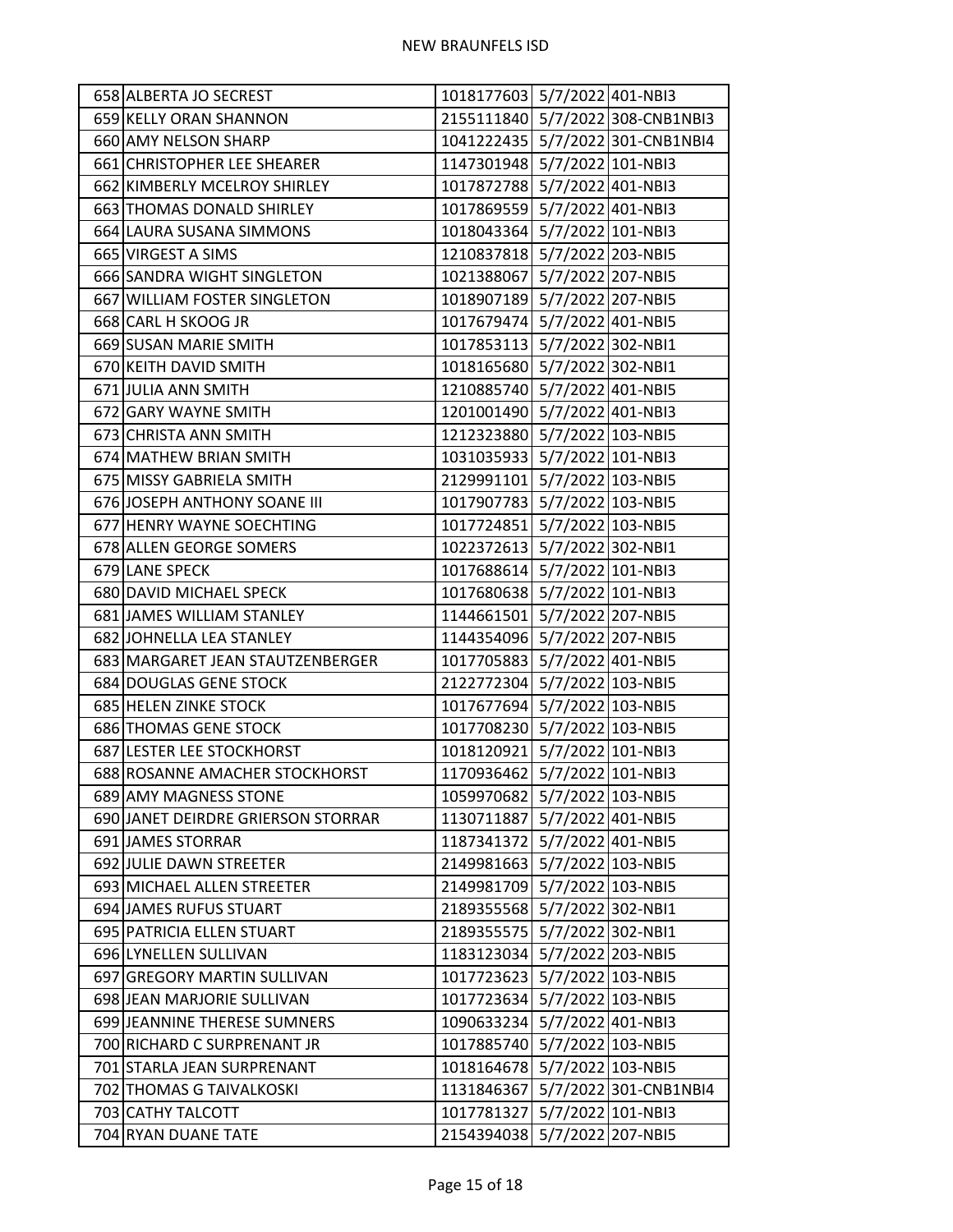| 2155111840 5/7/2022 308-CNB1NBI3<br>659 KELLY ORAN SHANNON<br>1041222435 5/7/2022 301-CNB1NBI4<br>660 AMY NELSON SHARP<br>1147301948 5/7/2022 101-NBI3<br>661 CHRISTOPHER LEE SHEARER<br>662 KIMBERLY MCELROY SHIRLEY<br>1017872788 5/7/2022 401-NBI3<br>1017869559 5/7/2022 401-NBI3<br>663 THOMAS DONALD SHIRLEY<br>1018043364 5/7/2022 101-NBI3<br>664 LAURA SUSANA SIMMONS<br>1210837818 5/7/2022 203-NBI5<br>665 VIRGEST A SIMS<br>1021388067 5/7/2022 207-NBI5<br>666 SANDRA WIGHT SINGLETON<br>1018907189 5/7/2022 207-NBI5<br>667 WILLIAM FOSTER SINGLETON<br>1017679474 5/7/2022 401-NBI5<br>668 CARL H SKOOG JR<br>1017853113 5/7/2022 302-NBI1<br>669 SUSAN MARIE SMITH<br>1018165680 5/7/2022 302-NBI1<br>670 KEITH DAVID SMITH<br>671 JULIA ANN SMITH<br>1210885740 5/7/2022 401-NBI5<br>1201001490 5/7/2022 401-NBI3<br>672 GARY WAYNE SMITH<br>1212323880 5/7/2022 103-NBI5<br>673 CHRISTA ANN SMITH<br>1031035933 5/7/2022 101-NBI3<br>674 MATHEW BRIAN SMITH<br>2129991101 5/7/2022 103-NBI5<br>675 MISSY GABRIELA SMITH<br>676 JOSEPH ANTHONY SOANE III<br>1017907783 5/7/2022 103-NBI5<br>677 HENRY WAYNE SOECHTING<br>1017724851 5/7/2022 103-NBI5<br>1022372613 5/7/2022 302-NBI1<br>678 ALLEN GEORGE SOMERS<br>1017688614 5/7/2022 101-NBI3<br>679 LANE SPECK<br>1017680638 5/7/2022 101-NBI3<br>680 DAVID MICHAEL SPECK<br>681 JAMES WILLIAM STANLEY<br>1144661501 5/7/2022 207-NBI5<br>1144354096 5/7/2022 207-NBI5<br>682 JOHNELLA LEA STANLEY<br>1017705883 5/7/2022 401-NBI5<br>683 MARGARET JEAN STAUTZENBERGER<br>2122772304 5/7/2022 103-NBI5<br>684 DOUGLAS GENE STOCK<br>1017677694 5/7/2022 103-NBI5<br>685 HELEN ZINKE STOCK<br>686 THOMAS GENE STOCK<br>1017708230 5/7/2022 103-NBI5<br>1018120921 5/7/2022 101-NBI3<br>687 LESTER LEE STOCKHORST<br>1170936462 5/7/2022 101-NBI3<br>688 ROSANNE AMACHER STOCKHORST<br>689 AMY MAGNESS STONE<br>1059970682 5/7/2022 103-NBI5<br>690 JANET DEIRDRE GRIERSON STORRAR<br>1130711887 5/7/2022 401-NBI5<br>1187341372 5/7/2022 401-NBI5<br>691 JAMES STORRAR<br>2149981663 5/7/2022 103-NBI5<br>692 JULIE DAWN STREETER<br>5/7/2022 103-NBI5<br>693 MICHAEL ALLEN STREETER<br>2149981709<br>5/7/2022 302-NBI1<br>694 JAMES RUFUS STUART<br>2189355568<br>5/7/2022 302-NBI1<br>695 PATRICIA ELLEN STUART<br>2189355575<br>1183123034 5/7/2022 203-NBI5<br>696 LYNELLEN SULLIVAN<br>697 GREGORY MARTIN SULLIVAN<br>1017723623<br>5/7/2022 103-NBI5<br>698 JEAN MARJORIE SULLIVAN<br>1017723634 5/7/2022 103-NBI5<br>1090633234 5/7/2022 401-NBI3<br>699 JEANNINE THERESE SUMNERS<br>5/7/2022 103-NBI5<br>700 RICHARD C SURPRENANT JR<br>1017885740<br>5/7/2022 103-NBI5<br>701 STARLA JEAN SURPRENANT<br>1018164678<br>5/7/2022 301-CNB1NBI4<br>702 THOMAS G TAIVALKOSKI<br>1131846367<br>703 CATHY TALCOTT<br>1017781327 5/7/2022 101-NBI3<br>2154394038 5/7/2022 207-NBI5<br>704 RYAN DUANE TATE | 658 ALBERTA JO SECREST | 1018177603 5/7/2022 401-NBI3 |  |
|--------------------------------------------------------------------------------------------------------------------------------------------------------------------------------------------------------------------------------------------------------------------------------------------------------------------------------------------------------------------------------------------------------------------------------------------------------------------------------------------------------------------------------------------------------------------------------------------------------------------------------------------------------------------------------------------------------------------------------------------------------------------------------------------------------------------------------------------------------------------------------------------------------------------------------------------------------------------------------------------------------------------------------------------------------------------------------------------------------------------------------------------------------------------------------------------------------------------------------------------------------------------------------------------------------------------------------------------------------------------------------------------------------------------------------------------------------------------------------------------------------------------------------------------------------------------------------------------------------------------------------------------------------------------------------------------------------------------------------------------------------------------------------------------------------------------------------------------------------------------------------------------------------------------------------------------------------------------------------------------------------------------------------------------------------------------------------------------------------------------------------------------------------------------------------------------------------------------------------------------------------------------------------------------------------------------------------------------------------------------------------------------------------------------------------------------------------------------------------------------------------------------------------------------------------------------------------------------------------------------------------------------------------------------------------------------------------------------------------------------------------------------------------------------------------------------------------------------------------------------------------|------------------------|------------------------------|--|
|                                                                                                                                                                                                                                                                                                                                                                                                                                                                                                                                                                                                                                                                                                                                                                                                                                                                                                                                                                                                                                                                                                                                                                                                                                                                                                                                                                                                                                                                                                                                                                                                                                                                                                                                                                                                                                                                                                                                                                                                                                                                                                                                                                                                                                                                                                                                                                                                                                                                                                                                                                                                                                                                                                                                                                                                                                                                                |                        |                              |  |
|                                                                                                                                                                                                                                                                                                                                                                                                                                                                                                                                                                                                                                                                                                                                                                                                                                                                                                                                                                                                                                                                                                                                                                                                                                                                                                                                                                                                                                                                                                                                                                                                                                                                                                                                                                                                                                                                                                                                                                                                                                                                                                                                                                                                                                                                                                                                                                                                                                                                                                                                                                                                                                                                                                                                                                                                                                                                                |                        |                              |  |
|                                                                                                                                                                                                                                                                                                                                                                                                                                                                                                                                                                                                                                                                                                                                                                                                                                                                                                                                                                                                                                                                                                                                                                                                                                                                                                                                                                                                                                                                                                                                                                                                                                                                                                                                                                                                                                                                                                                                                                                                                                                                                                                                                                                                                                                                                                                                                                                                                                                                                                                                                                                                                                                                                                                                                                                                                                                                                |                        |                              |  |
|                                                                                                                                                                                                                                                                                                                                                                                                                                                                                                                                                                                                                                                                                                                                                                                                                                                                                                                                                                                                                                                                                                                                                                                                                                                                                                                                                                                                                                                                                                                                                                                                                                                                                                                                                                                                                                                                                                                                                                                                                                                                                                                                                                                                                                                                                                                                                                                                                                                                                                                                                                                                                                                                                                                                                                                                                                                                                |                        |                              |  |
|                                                                                                                                                                                                                                                                                                                                                                                                                                                                                                                                                                                                                                                                                                                                                                                                                                                                                                                                                                                                                                                                                                                                                                                                                                                                                                                                                                                                                                                                                                                                                                                                                                                                                                                                                                                                                                                                                                                                                                                                                                                                                                                                                                                                                                                                                                                                                                                                                                                                                                                                                                                                                                                                                                                                                                                                                                                                                |                        |                              |  |
|                                                                                                                                                                                                                                                                                                                                                                                                                                                                                                                                                                                                                                                                                                                                                                                                                                                                                                                                                                                                                                                                                                                                                                                                                                                                                                                                                                                                                                                                                                                                                                                                                                                                                                                                                                                                                                                                                                                                                                                                                                                                                                                                                                                                                                                                                                                                                                                                                                                                                                                                                                                                                                                                                                                                                                                                                                                                                |                        |                              |  |
|                                                                                                                                                                                                                                                                                                                                                                                                                                                                                                                                                                                                                                                                                                                                                                                                                                                                                                                                                                                                                                                                                                                                                                                                                                                                                                                                                                                                                                                                                                                                                                                                                                                                                                                                                                                                                                                                                                                                                                                                                                                                                                                                                                                                                                                                                                                                                                                                                                                                                                                                                                                                                                                                                                                                                                                                                                                                                |                        |                              |  |
|                                                                                                                                                                                                                                                                                                                                                                                                                                                                                                                                                                                                                                                                                                                                                                                                                                                                                                                                                                                                                                                                                                                                                                                                                                                                                                                                                                                                                                                                                                                                                                                                                                                                                                                                                                                                                                                                                                                                                                                                                                                                                                                                                                                                                                                                                                                                                                                                                                                                                                                                                                                                                                                                                                                                                                                                                                                                                |                        |                              |  |
|                                                                                                                                                                                                                                                                                                                                                                                                                                                                                                                                                                                                                                                                                                                                                                                                                                                                                                                                                                                                                                                                                                                                                                                                                                                                                                                                                                                                                                                                                                                                                                                                                                                                                                                                                                                                                                                                                                                                                                                                                                                                                                                                                                                                                                                                                                                                                                                                                                                                                                                                                                                                                                                                                                                                                                                                                                                                                |                        |                              |  |
|                                                                                                                                                                                                                                                                                                                                                                                                                                                                                                                                                                                                                                                                                                                                                                                                                                                                                                                                                                                                                                                                                                                                                                                                                                                                                                                                                                                                                                                                                                                                                                                                                                                                                                                                                                                                                                                                                                                                                                                                                                                                                                                                                                                                                                                                                                                                                                                                                                                                                                                                                                                                                                                                                                                                                                                                                                                                                |                        |                              |  |
|                                                                                                                                                                                                                                                                                                                                                                                                                                                                                                                                                                                                                                                                                                                                                                                                                                                                                                                                                                                                                                                                                                                                                                                                                                                                                                                                                                                                                                                                                                                                                                                                                                                                                                                                                                                                                                                                                                                                                                                                                                                                                                                                                                                                                                                                                                                                                                                                                                                                                                                                                                                                                                                                                                                                                                                                                                                                                |                        |                              |  |
|                                                                                                                                                                                                                                                                                                                                                                                                                                                                                                                                                                                                                                                                                                                                                                                                                                                                                                                                                                                                                                                                                                                                                                                                                                                                                                                                                                                                                                                                                                                                                                                                                                                                                                                                                                                                                                                                                                                                                                                                                                                                                                                                                                                                                                                                                                                                                                                                                                                                                                                                                                                                                                                                                                                                                                                                                                                                                |                        |                              |  |
|                                                                                                                                                                                                                                                                                                                                                                                                                                                                                                                                                                                                                                                                                                                                                                                                                                                                                                                                                                                                                                                                                                                                                                                                                                                                                                                                                                                                                                                                                                                                                                                                                                                                                                                                                                                                                                                                                                                                                                                                                                                                                                                                                                                                                                                                                                                                                                                                                                                                                                                                                                                                                                                                                                                                                                                                                                                                                |                        |                              |  |
|                                                                                                                                                                                                                                                                                                                                                                                                                                                                                                                                                                                                                                                                                                                                                                                                                                                                                                                                                                                                                                                                                                                                                                                                                                                                                                                                                                                                                                                                                                                                                                                                                                                                                                                                                                                                                                                                                                                                                                                                                                                                                                                                                                                                                                                                                                                                                                                                                                                                                                                                                                                                                                                                                                                                                                                                                                                                                |                        |                              |  |
|                                                                                                                                                                                                                                                                                                                                                                                                                                                                                                                                                                                                                                                                                                                                                                                                                                                                                                                                                                                                                                                                                                                                                                                                                                                                                                                                                                                                                                                                                                                                                                                                                                                                                                                                                                                                                                                                                                                                                                                                                                                                                                                                                                                                                                                                                                                                                                                                                                                                                                                                                                                                                                                                                                                                                                                                                                                                                |                        |                              |  |
|                                                                                                                                                                                                                                                                                                                                                                                                                                                                                                                                                                                                                                                                                                                                                                                                                                                                                                                                                                                                                                                                                                                                                                                                                                                                                                                                                                                                                                                                                                                                                                                                                                                                                                                                                                                                                                                                                                                                                                                                                                                                                                                                                                                                                                                                                                                                                                                                                                                                                                                                                                                                                                                                                                                                                                                                                                                                                |                        |                              |  |
|                                                                                                                                                                                                                                                                                                                                                                                                                                                                                                                                                                                                                                                                                                                                                                                                                                                                                                                                                                                                                                                                                                                                                                                                                                                                                                                                                                                                                                                                                                                                                                                                                                                                                                                                                                                                                                                                                                                                                                                                                                                                                                                                                                                                                                                                                                                                                                                                                                                                                                                                                                                                                                                                                                                                                                                                                                                                                |                        |                              |  |
|                                                                                                                                                                                                                                                                                                                                                                                                                                                                                                                                                                                                                                                                                                                                                                                                                                                                                                                                                                                                                                                                                                                                                                                                                                                                                                                                                                                                                                                                                                                                                                                                                                                                                                                                                                                                                                                                                                                                                                                                                                                                                                                                                                                                                                                                                                                                                                                                                                                                                                                                                                                                                                                                                                                                                                                                                                                                                |                        |                              |  |
|                                                                                                                                                                                                                                                                                                                                                                                                                                                                                                                                                                                                                                                                                                                                                                                                                                                                                                                                                                                                                                                                                                                                                                                                                                                                                                                                                                                                                                                                                                                                                                                                                                                                                                                                                                                                                                                                                                                                                                                                                                                                                                                                                                                                                                                                                                                                                                                                                                                                                                                                                                                                                                                                                                                                                                                                                                                                                |                        |                              |  |
|                                                                                                                                                                                                                                                                                                                                                                                                                                                                                                                                                                                                                                                                                                                                                                                                                                                                                                                                                                                                                                                                                                                                                                                                                                                                                                                                                                                                                                                                                                                                                                                                                                                                                                                                                                                                                                                                                                                                                                                                                                                                                                                                                                                                                                                                                                                                                                                                                                                                                                                                                                                                                                                                                                                                                                                                                                                                                |                        |                              |  |
|                                                                                                                                                                                                                                                                                                                                                                                                                                                                                                                                                                                                                                                                                                                                                                                                                                                                                                                                                                                                                                                                                                                                                                                                                                                                                                                                                                                                                                                                                                                                                                                                                                                                                                                                                                                                                                                                                                                                                                                                                                                                                                                                                                                                                                                                                                                                                                                                                                                                                                                                                                                                                                                                                                                                                                                                                                                                                |                        |                              |  |
|                                                                                                                                                                                                                                                                                                                                                                                                                                                                                                                                                                                                                                                                                                                                                                                                                                                                                                                                                                                                                                                                                                                                                                                                                                                                                                                                                                                                                                                                                                                                                                                                                                                                                                                                                                                                                                                                                                                                                                                                                                                                                                                                                                                                                                                                                                                                                                                                                                                                                                                                                                                                                                                                                                                                                                                                                                                                                |                        |                              |  |
|                                                                                                                                                                                                                                                                                                                                                                                                                                                                                                                                                                                                                                                                                                                                                                                                                                                                                                                                                                                                                                                                                                                                                                                                                                                                                                                                                                                                                                                                                                                                                                                                                                                                                                                                                                                                                                                                                                                                                                                                                                                                                                                                                                                                                                                                                                                                                                                                                                                                                                                                                                                                                                                                                                                                                                                                                                                                                |                        |                              |  |
|                                                                                                                                                                                                                                                                                                                                                                                                                                                                                                                                                                                                                                                                                                                                                                                                                                                                                                                                                                                                                                                                                                                                                                                                                                                                                                                                                                                                                                                                                                                                                                                                                                                                                                                                                                                                                                                                                                                                                                                                                                                                                                                                                                                                                                                                                                                                                                                                                                                                                                                                                                                                                                                                                                                                                                                                                                                                                |                        |                              |  |
|                                                                                                                                                                                                                                                                                                                                                                                                                                                                                                                                                                                                                                                                                                                                                                                                                                                                                                                                                                                                                                                                                                                                                                                                                                                                                                                                                                                                                                                                                                                                                                                                                                                                                                                                                                                                                                                                                                                                                                                                                                                                                                                                                                                                                                                                                                                                                                                                                                                                                                                                                                                                                                                                                                                                                                                                                                                                                |                        |                              |  |
|                                                                                                                                                                                                                                                                                                                                                                                                                                                                                                                                                                                                                                                                                                                                                                                                                                                                                                                                                                                                                                                                                                                                                                                                                                                                                                                                                                                                                                                                                                                                                                                                                                                                                                                                                                                                                                                                                                                                                                                                                                                                                                                                                                                                                                                                                                                                                                                                                                                                                                                                                                                                                                                                                                                                                                                                                                                                                |                        |                              |  |
|                                                                                                                                                                                                                                                                                                                                                                                                                                                                                                                                                                                                                                                                                                                                                                                                                                                                                                                                                                                                                                                                                                                                                                                                                                                                                                                                                                                                                                                                                                                                                                                                                                                                                                                                                                                                                                                                                                                                                                                                                                                                                                                                                                                                                                                                                                                                                                                                                                                                                                                                                                                                                                                                                                                                                                                                                                                                                |                        |                              |  |
|                                                                                                                                                                                                                                                                                                                                                                                                                                                                                                                                                                                                                                                                                                                                                                                                                                                                                                                                                                                                                                                                                                                                                                                                                                                                                                                                                                                                                                                                                                                                                                                                                                                                                                                                                                                                                                                                                                                                                                                                                                                                                                                                                                                                                                                                                                                                                                                                                                                                                                                                                                                                                                                                                                                                                                                                                                                                                |                        |                              |  |
|                                                                                                                                                                                                                                                                                                                                                                                                                                                                                                                                                                                                                                                                                                                                                                                                                                                                                                                                                                                                                                                                                                                                                                                                                                                                                                                                                                                                                                                                                                                                                                                                                                                                                                                                                                                                                                                                                                                                                                                                                                                                                                                                                                                                                                                                                                                                                                                                                                                                                                                                                                                                                                                                                                                                                                                                                                                                                |                        |                              |  |
|                                                                                                                                                                                                                                                                                                                                                                                                                                                                                                                                                                                                                                                                                                                                                                                                                                                                                                                                                                                                                                                                                                                                                                                                                                                                                                                                                                                                                                                                                                                                                                                                                                                                                                                                                                                                                                                                                                                                                                                                                                                                                                                                                                                                                                                                                                                                                                                                                                                                                                                                                                                                                                                                                                                                                                                                                                                                                |                        |                              |  |
|                                                                                                                                                                                                                                                                                                                                                                                                                                                                                                                                                                                                                                                                                                                                                                                                                                                                                                                                                                                                                                                                                                                                                                                                                                                                                                                                                                                                                                                                                                                                                                                                                                                                                                                                                                                                                                                                                                                                                                                                                                                                                                                                                                                                                                                                                                                                                                                                                                                                                                                                                                                                                                                                                                                                                                                                                                                                                |                        |                              |  |
|                                                                                                                                                                                                                                                                                                                                                                                                                                                                                                                                                                                                                                                                                                                                                                                                                                                                                                                                                                                                                                                                                                                                                                                                                                                                                                                                                                                                                                                                                                                                                                                                                                                                                                                                                                                                                                                                                                                                                                                                                                                                                                                                                                                                                                                                                                                                                                                                                                                                                                                                                                                                                                                                                                                                                                                                                                                                                |                        |                              |  |
|                                                                                                                                                                                                                                                                                                                                                                                                                                                                                                                                                                                                                                                                                                                                                                                                                                                                                                                                                                                                                                                                                                                                                                                                                                                                                                                                                                                                                                                                                                                                                                                                                                                                                                                                                                                                                                                                                                                                                                                                                                                                                                                                                                                                                                                                                                                                                                                                                                                                                                                                                                                                                                                                                                                                                                                                                                                                                |                        |                              |  |
|                                                                                                                                                                                                                                                                                                                                                                                                                                                                                                                                                                                                                                                                                                                                                                                                                                                                                                                                                                                                                                                                                                                                                                                                                                                                                                                                                                                                                                                                                                                                                                                                                                                                                                                                                                                                                                                                                                                                                                                                                                                                                                                                                                                                                                                                                                                                                                                                                                                                                                                                                                                                                                                                                                                                                                                                                                                                                |                        |                              |  |
|                                                                                                                                                                                                                                                                                                                                                                                                                                                                                                                                                                                                                                                                                                                                                                                                                                                                                                                                                                                                                                                                                                                                                                                                                                                                                                                                                                                                                                                                                                                                                                                                                                                                                                                                                                                                                                                                                                                                                                                                                                                                                                                                                                                                                                                                                                                                                                                                                                                                                                                                                                                                                                                                                                                                                                                                                                                                                |                        |                              |  |
|                                                                                                                                                                                                                                                                                                                                                                                                                                                                                                                                                                                                                                                                                                                                                                                                                                                                                                                                                                                                                                                                                                                                                                                                                                                                                                                                                                                                                                                                                                                                                                                                                                                                                                                                                                                                                                                                                                                                                                                                                                                                                                                                                                                                                                                                                                                                                                                                                                                                                                                                                                                                                                                                                                                                                                                                                                                                                |                        |                              |  |
|                                                                                                                                                                                                                                                                                                                                                                                                                                                                                                                                                                                                                                                                                                                                                                                                                                                                                                                                                                                                                                                                                                                                                                                                                                                                                                                                                                                                                                                                                                                                                                                                                                                                                                                                                                                                                                                                                                                                                                                                                                                                                                                                                                                                                                                                                                                                                                                                                                                                                                                                                                                                                                                                                                                                                                                                                                                                                |                        |                              |  |
|                                                                                                                                                                                                                                                                                                                                                                                                                                                                                                                                                                                                                                                                                                                                                                                                                                                                                                                                                                                                                                                                                                                                                                                                                                                                                                                                                                                                                                                                                                                                                                                                                                                                                                                                                                                                                                                                                                                                                                                                                                                                                                                                                                                                                                                                                                                                                                                                                                                                                                                                                                                                                                                                                                                                                                                                                                                                                |                        |                              |  |
|                                                                                                                                                                                                                                                                                                                                                                                                                                                                                                                                                                                                                                                                                                                                                                                                                                                                                                                                                                                                                                                                                                                                                                                                                                                                                                                                                                                                                                                                                                                                                                                                                                                                                                                                                                                                                                                                                                                                                                                                                                                                                                                                                                                                                                                                                                                                                                                                                                                                                                                                                                                                                                                                                                                                                                                                                                                                                |                        |                              |  |
|                                                                                                                                                                                                                                                                                                                                                                                                                                                                                                                                                                                                                                                                                                                                                                                                                                                                                                                                                                                                                                                                                                                                                                                                                                                                                                                                                                                                                                                                                                                                                                                                                                                                                                                                                                                                                                                                                                                                                                                                                                                                                                                                                                                                                                                                                                                                                                                                                                                                                                                                                                                                                                                                                                                                                                                                                                                                                |                        |                              |  |
|                                                                                                                                                                                                                                                                                                                                                                                                                                                                                                                                                                                                                                                                                                                                                                                                                                                                                                                                                                                                                                                                                                                                                                                                                                                                                                                                                                                                                                                                                                                                                                                                                                                                                                                                                                                                                                                                                                                                                                                                                                                                                                                                                                                                                                                                                                                                                                                                                                                                                                                                                                                                                                                                                                                                                                                                                                                                                |                        |                              |  |
|                                                                                                                                                                                                                                                                                                                                                                                                                                                                                                                                                                                                                                                                                                                                                                                                                                                                                                                                                                                                                                                                                                                                                                                                                                                                                                                                                                                                                                                                                                                                                                                                                                                                                                                                                                                                                                                                                                                                                                                                                                                                                                                                                                                                                                                                                                                                                                                                                                                                                                                                                                                                                                                                                                                                                                                                                                                                                |                        |                              |  |
|                                                                                                                                                                                                                                                                                                                                                                                                                                                                                                                                                                                                                                                                                                                                                                                                                                                                                                                                                                                                                                                                                                                                                                                                                                                                                                                                                                                                                                                                                                                                                                                                                                                                                                                                                                                                                                                                                                                                                                                                                                                                                                                                                                                                                                                                                                                                                                                                                                                                                                                                                                                                                                                                                                                                                                                                                                                                                |                        |                              |  |
|                                                                                                                                                                                                                                                                                                                                                                                                                                                                                                                                                                                                                                                                                                                                                                                                                                                                                                                                                                                                                                                                                                                                                                                                                                                                                                                                                                                                                                                                                                                                                                                                                                                                                                                                                                                                                                                                                                                                                                                                                                                                                                                                                                                                                                                                                                                                                                                                                                                                                                                                                                                                                                                                                                                                                                                                                                                                                |                        |                              |  |
|                                                                                                                                                                                                                                                                                                                                                                                                                                                                                                                                                                                                                                                                                                                                                                                                                                                                                                                                                                                                                                                                                                                                                                                                                                                                                                                                                                                                                                                                                                                                                                                                                                                                                                                                                                                                                                                                                                                                                                                                                                                                                                                                                                                                                                                                                                                                                                                                                                                                                                                                                                                                                                                                                                                                                                                                                                                                                |                        |                              |  |
|                                                                                                                                                                                                                                                                                                                                                                                                                                                                                                                                                                                                                                                                                                                                                                                                                                                                                                                                                                                                                                                                                                                                                                                                                                                                                                                                                                                                                                                                                                                                                                                                                                                                                                                                                                                                                                                                                                                                                                                                                                                                                                                                                                                                                                                                                                                                                                                                                                                                                                                                                                                                                                                                                                                                                                                                                                                                                |                        |                              |  |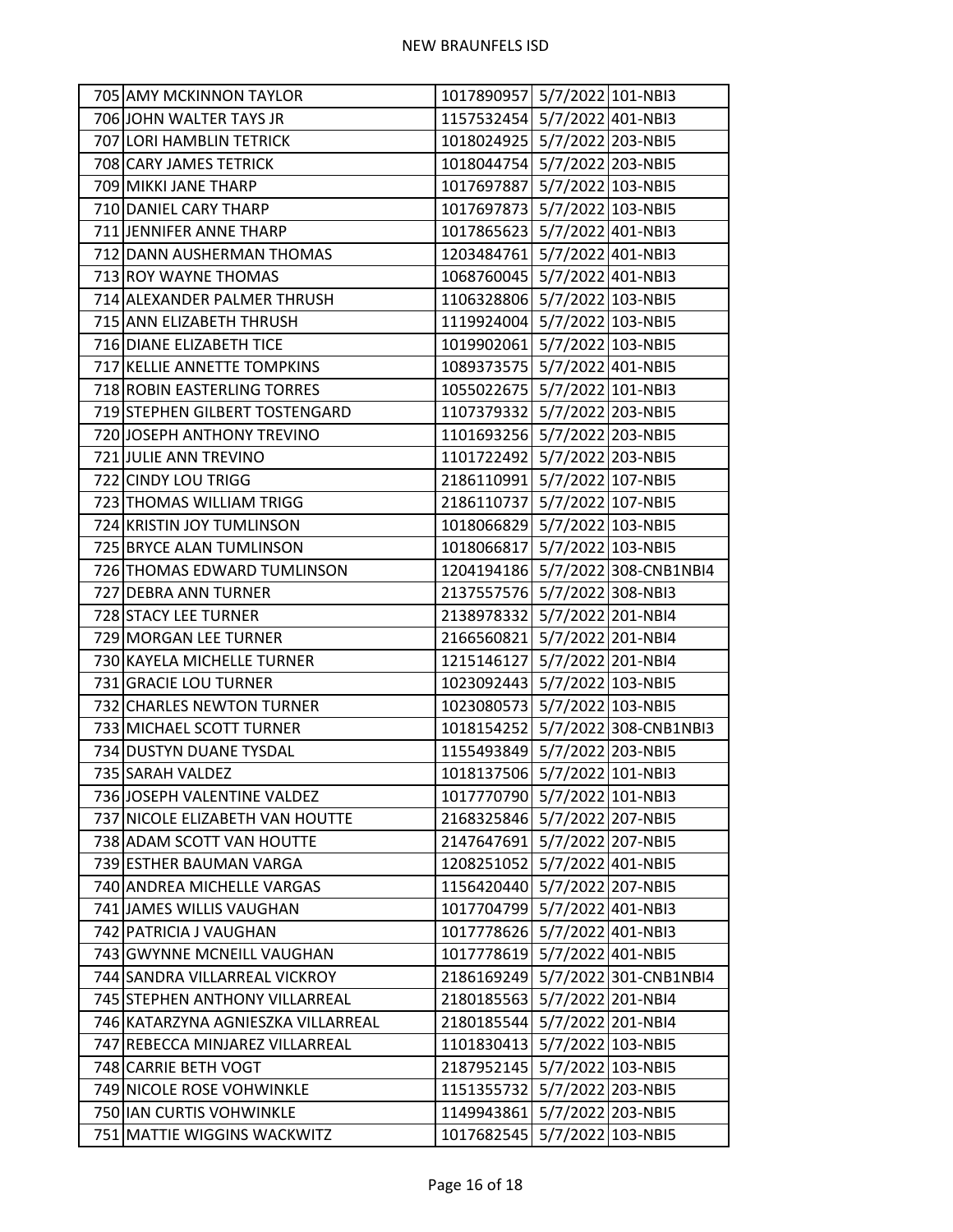| 705 AMY MCKINNON TAYLOR            | 1017890957 5/7/2022 101-NBI3 |                                  |
|------------------------------------|------------------------------|----------------------------------|
| 706 JOHN WALTER TAYS JR            | 1157532454 5/7/2022 401-NBI3 |                                  |
| 707 LORI HAMBLIN TETRICK           | 1018024925 5/7/2022 203-NBI5 |                                  |
| 708 CARY JAMES TETRICK             | 1018044754 5/7/2022 203-NBI5 |                                  |
| 709 MIKKI JANE THARP               | 1017697887 5/7/2022 103-NBI5 |                                  |
| 710 DANIEL CARY THARP              | 1017697873 5/7/2022 103-NBI5 |                                  |
| 711 JENNIFER ANNE THARP            | 1017865623 5/7/2022 401-NBI3 |                                  |
| 712 DANN AUSHERMAN THOMAS          | 1203484761 5/7/2022 401-NBI3 |                                  |
| 713 ROY WAYNE THOMAS               | 1068760045 5/7/2022 401-NBI3 |                                  |
| 714 ALEXANDER PALMER THRUSH        | 1106328806 5/7/2022 103-NBI5 |                                  |
| 715 ANN ELIZABETH THRUSH           | 1119924004 5/7/2022 103-NBI5 |                                  |
| 716 DIANE ELIZABETH TICE           | 1019902061 5/7/2022 103-NBI5 |                                  |
| 717 KELLIE ANNETTE TOMPKINS        | 1089373575 5/7/2022 401-NBI5 |                                  |
| 718 ROBIN EASTERLING TORRES        | 1055022675 5/7/2022 101-NBI3 |                                  |
| 719 STEPHEN GILBERT TOSTENGARD     | 1107379332 5/7/2022 203-NBI5 |                                  |
| 720 JOSEPH ANTHONY TREVINO         | 1101693256 5/7/2022 203-NBI5 |                                  |
| 721 JULIE ANN TREVINO              | 1101722492 5/7/2022 203-NBI5 |                                  |
| 722 CINDY LOU TRIGG                | 2186110991 5/7/2022 107-NBI5 |                                  |
| 723 THOMAS WILLIAM TRIGG           | 2186110737 5/7/2022 107-NBI5 |                                  |
| 724 KRISTIN JOY TUMLINSON          | 1018066829 5/7/2022 103-NBI5 |                                  |
| 725 BRYCE ALAN TUMLINSON           | 1018066817 5/7/2022 103-NBI5 |                                  |
| 726 THOMAS EDWARD TUMLINSON        |                              | 1204194186 5/7/2022 308-CNB1NBI4 |
| 727 DEBRA ANN TURNER               | 2137557576 5/7/2022 308-NBI3 |                                  |
| 728 STACY LEE TURNER               | 2138978332 5/7/2022 201-NBI4 |                                  |
| 729 MORGAN LEE TURNER              | 2166560821 5/7/2022 201-NBI4 |                                  |
| 730 KAYELA MICHELLE TURNER         | 1215146127 5/7/2022 201-NBI4 |                                  |
| 731 GRACIE LOU TURNER              | 1023092443 5/7/2022 103-NBI5 |                                  |
| 732 CHARLES NEWTON TURNER          | 1023080573 5/7/2022 103-NBI5 |                                  |
| 733 MICHAEL SCOTT TURNER           |                              | 1018154252 5/7/2022 308-CNB1NBI3 |
| 734 DUSTYN DUANE TYSDAL            | 1155493849 5/7/2022 203-NBI5 |                                  |
| 735 SARAH VALDEZ                   | 1018137506 5/7/2022 101-NBI3 |                                  |
| 736 JOSEPH VALENTINE VALDEZ        | 1017770790 5/7/2022 101-NBI3 |                                  |
| 737 NICOLE ELIZABETH VAN HOUTTE    | 2168325846 5/7/2022 207-NBI5 |                                  |
| 738 ADAM SCOTT VAN HOUTTE          | 2147647691 5/7/2022 207-NBI5 |                                  |
| 739 ESTHER BAUMAN VARGA            | 1208251052 5/7/2022 401-NBI5 |                                  |
| 740 ANDREA MICHELLE VARGAS         | 1156420440 5/7/2022 207-NBI5 |                                  |
| 741 JAMES WILLIS VAUGHAN           | 1017704799 5/7/2022 401-NBI3 |                                  |
| 742 PATRICIA J VAUGHAN             | 1017778626 5/7/2022 401-NBI3 |                                  |
| 743 GWYNNE MCNEILL VAUGHAN         | 1017778619 5/7/2022 401-NBI5 |                                  |
| 744 SANDRA VILLARREAL VICKROY      |                              | 2186169249 5/7/2022 301-CNB1NBI4 |
| 745 STEPHEN ANTHONY VILLARREAL     | 2180185563 5/7/2022 201-NBI4 |                                  |
| 746 KATARZYNA AGNIESZKA VILLARREAL | 2180185544 5/7/2022 201-NBI4 |                                  |
| 747 REBECCA MINJAREZ VILLARREAL    | 1101830413 5/7/2022 103-NBI5 |                                  |
| 748 CARRIE BETH VOGT               | 2187952145 5/7/2022 103-NBI5 |                                  |
| 749 NICOLE ROSE VOHWINKLE          | 1151355732 5/7/2022 203-NBI5 |                                  |
| 750 IAN CURTIS VOHWINKLE           | 1149943861 5/7/2022 203-NBI5 |                                  |
| 751 MATTIE WIGGINS WACKWITZ        | 1017682545 5/7/2022 103-NBI5 |                                  |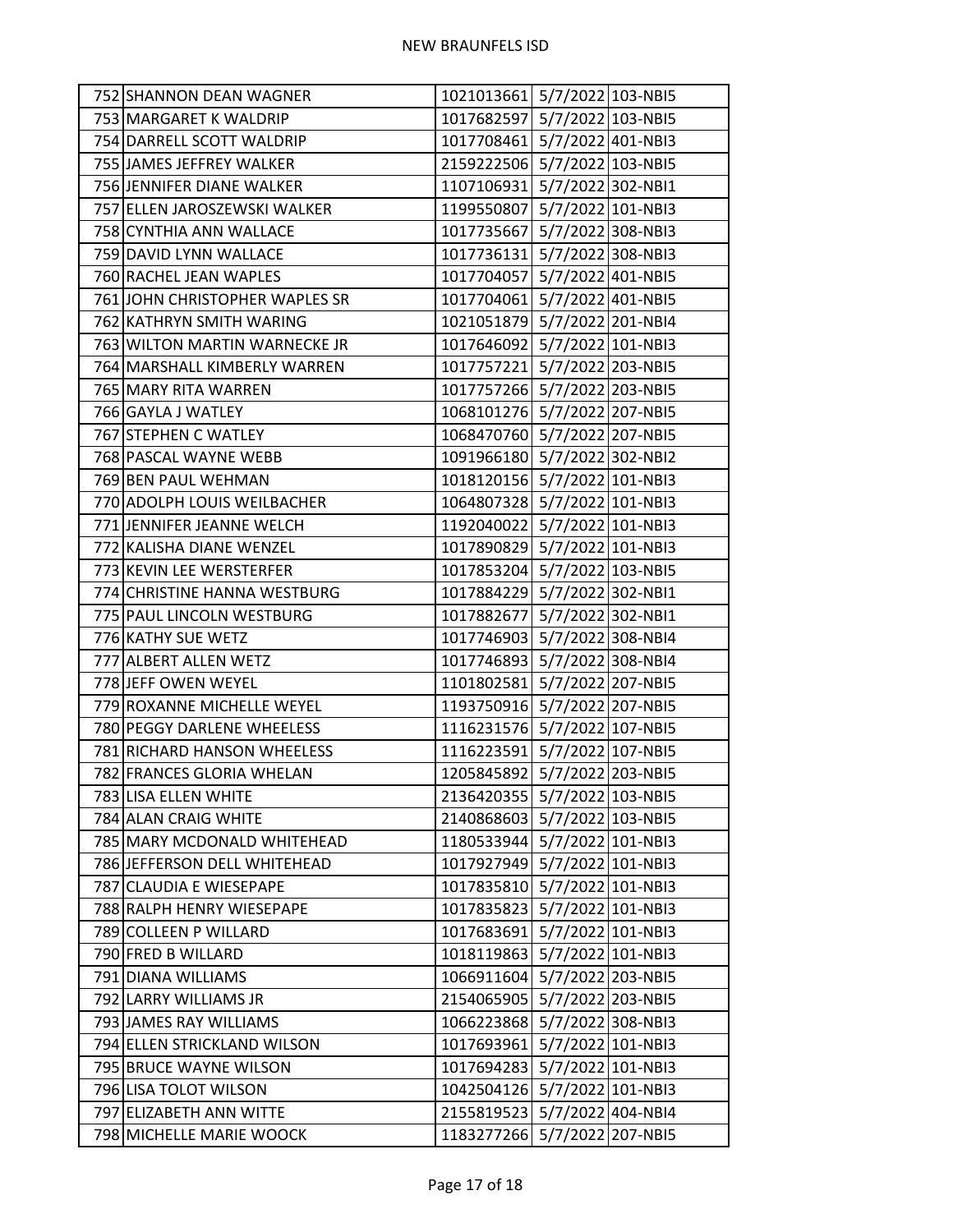| 752 SHANNON DEAN WAGNER        | 1021013661 5/7/2022 103-NBI5 |  |
|--------------------------------|------------------------------|--|
| 753 MARGARET K WALDRIP         | 1017682597 5/7/2022 103-NBI5 |  |
| 754 DARRELL SCOTT WALDRIP      | 1017708461 5/7/2022 401-NBI3 |  |
| 755 JAMES JEFFREY WALKER       | 2159222506 5/7/2022 103-NBI5 |  |
| 756 JENNIFER DIANE WALKER      | 1107106931 5/7/2022 302-NBI1 |  |
| 757 ELLEN JAROSZEWSKI WALKER   | 1199550807 5/7/2022 101-NBI3 |  |
| 758 CYNTHIA ANN WALLACE        | 1017735667 5/7/2022 308-NBI3 |  |
| 759 DAVID LYNN WALLACE         | 1017736131 5/7/2022 308-NBI3 |  |
| 760 RACHEL JEAN WAPLES         | 1017704057 5/7/2022 401-NBI5 |  |
| 761 JOHN CHRISTOPHER WAPLES SR | 1017704061 5/7/2022 401-NBI5 |  |
| 762 KATHRYN SMITH WARING       | 1021051879 5/7/2022 201-NBI4 |  |
| 763 WILTON MARTIN WARNECKE JR  | 1017646092 5/7/2022 101-NBI3 |  |
| 764 MARSHALL KIMBERLY WARREN   | 1017757221 5/7/2022 203-NBI5 |  |
| 765 MARY RITA WARREN           | 1017757266 5/7/2022 203-NBI5 |  |
| 766 GAYLA J WATLEY             | 1068101276 5/7/2022 207-NBI5 |  |
| 767 STEPHEN C WATLEY           | 1068470760 5/7/2022 207-NBI5 |  |
| 768 PASCAL WAYNE WEBB          | 1091966180 5/7/2022 302-NBI2 |  |
| 769 BEN PAUL WEHMAN            | 1018120156 5/7/2022 101-NBI3 |  |
| 770 ADOLPH LOUIS WEILBACHER    | 1064807328 5/7/2022 101-NBI3 |  |
| 771 JENNIFER JEANNE WELCH      | 1192040022 5/7/2022 101-NBI3 |  |
| 772 KALISHA DIANE WENZEL       | 1017890829 5/7/2022 101-NBI3 |  |
| 773 KEVIN LEE WERSTERFER       | 1017853204 5/7/2022 103-NBI5 |  |
| 774 CHRISTINE HANNA WESTBURG   | 1017884229 5/7/2022 302-NBI1 |  |
| 775 PAUL LINCOLN WESTBURG      | 1017882677 5/7/2022 302-NBI1 |  |
| 776 KATHY SUE WETZ             | 1017746903 5/7/2022 308-NBI4 |  |
| 777 ALBERT ALLEN WETZ          | 1017746893 5/7/2022 308-NBI4 |  |
| 778 JEFF OWEN WEYEL            | 1101802581 5/7/2022 207-NBI5 |  |
| 779 ROXANNE MICHELLE WEYEL     | 1193750916 5/7/2022 207-NBI5 |  |
| 780 PEGGY DARLENE WHEELESS     | 1116231576 5/7/2022 107-NBI5 |  |
| 781 RICHARD HANSON WHEELESS    | 1116223591 5/7/2022 107-NBI5 |  |
| 782 FRANCES GLORIA WHELAN      | 1205845892 5/7/2022 203-NBI5 |  |
| 783 LISA ELLEN WHITE           | 2136420355 5/7/2022 103-NBI5 |  |
| 784 ALAN CRAIG WHITE           | 2140868603 5/7/2022 103-NBI5 |  |
| 785 MARY MCDONALD WHITEHEAD    | 1180533944 5/7/2022 101-NBI3 |  |
| 786 JEFFERSON DELL WHITEHEAD   | 1017927949 5/7/2022 101-NBI3 |  |
| 787 CLAUDIA E WIESEPAPE        | 1017835810 5/7/2022 101-NBI3 |  |
| 788 RALPH HENRY WIESEPAPE      | 1017835823 5/7/2022 101-NBI3 |  |
| 789 COLLEEN P WILLARD          | 1017683691 5/7/2022 101-NBI3 |  |
| 790 FRED B WILLARD             | 1018119863 5/7/2022 101-NBI3 |  |
| 791 DIANA WILLIAMS             | 1066911604 5/7/2022 203-NBI5 |  |
| 792 LARRY WILLIAMS JR          | 2154065905 5/7/2022 203-NBI5 |  |
| 793 JAMES RAY WILLIAMS         | 1066223868 5/7/2022 308-NBI3 |  |
| 794 ELLEN STRICKLAND WILSON    | 1017693961 5/7/2022 101-NBI3 |  |
| 795 BRUCE WAYNE WILSON         | 1017694283 5/7/2022 101-NBI3 |  |
| 796 LISA TOLOT WILSON          | 1042504126 5/7/2022 101-NBI3 |  |
| 797 ELIZABETH ANN WITTE        | 2155819523 5/7/2022 404-NBI4 |  |
| 798 MICHELLE MARIE WOOCK       | 1183277266 5/7/2022 207-NBI5 |  |